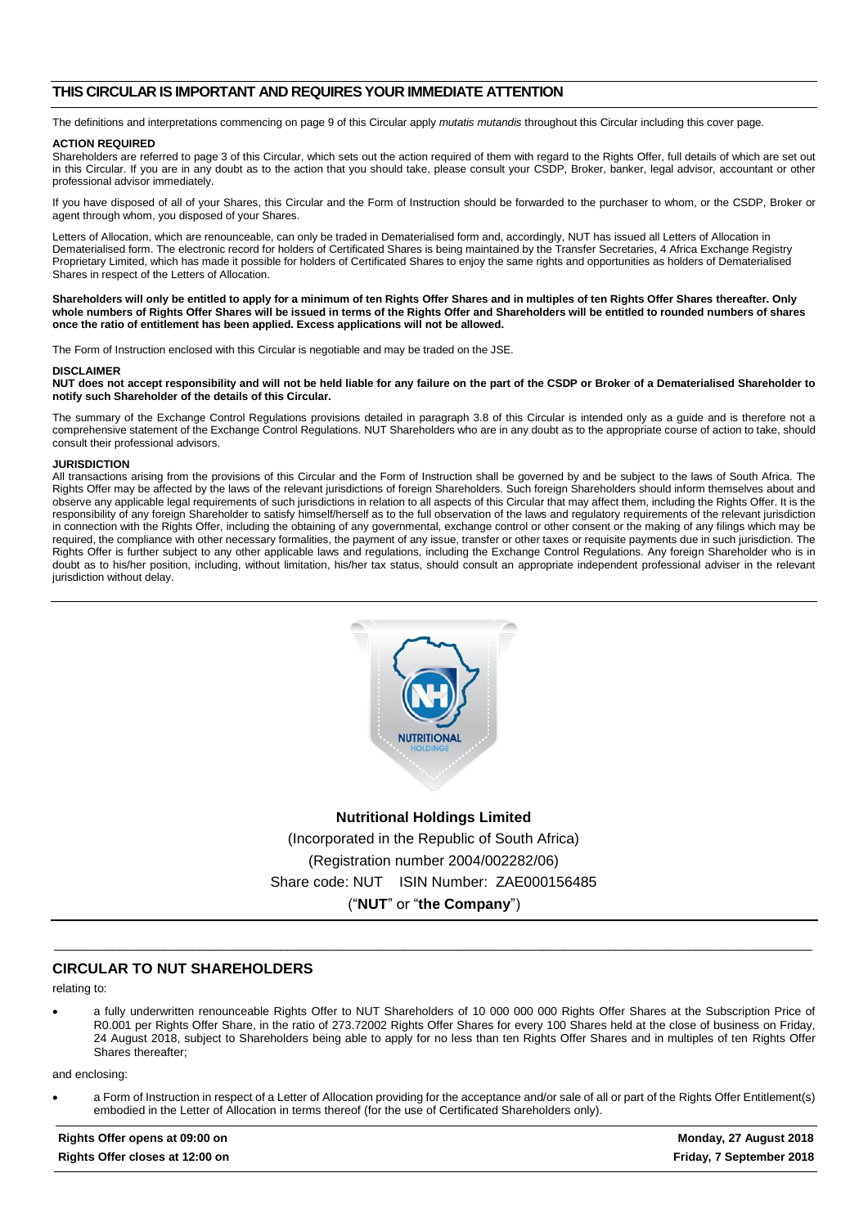#### **THIS CIRCULAR IS IMPORTANT AND REQUIRES YOUR IMMEDIATE ATTENTION**

The definitions and interpretations commencing on page 9 of this Circular apply *mutatis mutandis* throughout this Circular including this cover page.

#### **ACTION REQUIRED**

Shareholders are referred to page 3 of this Circular, which sets out the action required of them with regard to the Rights Offer, full details of which are set out in this Circular. If you are in any doubt as to the action that you should take, please consult your CSDP, Broker, banker, legal advisor, accountant or other professional advisor immediately.

If you have disposed of all of your Shares, this Circular and the Form of Instruction should be forwarded to the purchaser to whom, or the CSDP, Broker or agent through whom, you disposed of your Shares.

Letters of Allocation, which are renounceable, can only be traded in Dematerialised form and, accordingly, NUT has issued all Letters of Allocation in Dematerialised form. The electronic record for holders of Certificated Shares is being maintained by the Transfer Secretaries, 4 Africa Exchange Registry Proprietary Limited, which has made it possible for holders of Certificated Shares to enjoy the same rights and opportunities as holders of Dematerialised Shares in respect of the Letters of Allocation.

**Shareholders will only be entitled to apply for a minimum of ten Rights Offer Shares and in multiples of ten Rights Offer Shares thereafter. Only whole numbers of Rights Offer Shares will be issued in terms of the Rights Offer and Shareholders will be entitled to rounded numbers of shares once the ratio of entitlement has been applied. Excess applications will not be allowed.**

The Form of Instruction enclosed with this Circular is negotiable and may be traded on the JSE.

#### **DISCLAIMER**

**NUT does not accept responsibility and will not be held liable for any failure on the part of the CSDP or Broker of a Dematerialised Shareholder to notify such Shareholder of the details of this Circular.**

The summary of the Exchange Control Regulations provisions detailed in paragrap[h 3.8](#page-16-0) of this Circular is intended only as a guide and is therefore not a comprehensive statement of the Exchange Control Regulations. NUT Shareholders who are in any doubt as to the appropriate course of action to take, should consult their professional advisors.

#### **JURISDICTION**

All transactions arising from the provisions of this Circular and the Form of Instruction shall be governed by and be subject to the laws of South Africa. The Rights Offer may be affected by the laws of the relevant jurisdictions of foreign Shareholders. Such foreign Shareholders should inform themselves about and observe any applicable legal requirements of such jurisdictions in relation to all aspects of this Circular that may affect them, including the Rights Offer. It is the responsibility of any foreign Shareholder to satisfy himself/herself as to the full observation of the laws and regulatory requirements of the relevant jurisdiction in connection with the Rights Offer, including the obtaining of any governmental, exchange control or other consent or the making of any filings which may be required, the compliance with other necessary formalities, the payment of any issue, transfer or other taxes or requisite payments due in such jurisdiction. The Rights Offer is further subject to any other applicable laws and regulations, including the Exchange Control Regulations. Any foreign Shareholder who is in doubt as to his/her position, including, without limitation, his/her tax status, should consult an appropriate independent professional adviser in the relevant jurisdiction without delay.



**Nutritional Holdings Limited** (Incorporated in the Republic of South Africa) (Registration number 2004/002282/06) Share code: NUT ISIN Number: ZAE000156485 ("**NUT**" or "**the Company**")

\_\_\_\_\_\_\_\_\_\_\_\_\_\_\_\_\_\_\_\_\_\_\_\_\_\_\_\_\_\_\_\_\_\_\_\_\_\_\_\_\_\_\_\_\_\_\_\_\_\_\_\_\_\_\_\_\_\_\_\_\_\_\_\_\_\_\_\_\_\_\_\_\_\_\_\_\_\_\_\_\_\_\_\_\_\_\_\_\_\_\_\_\_\_\_\_\_\_\_\_\_\_\_\_

#### **CIRCULAR TO NUT SHAREHOLDERS**

relating to:

• a fully underwritten renounceable Rights Offer to NUT Shareholders of 10 000 000 000 Rights Offer Shares at the Subscription Price of R0.001 per Rights Offer Share, in the ratio of 273.72002 Rights Offer Shares for every 100 Shares held at the close of business on Friday, 24 August 2018, subject to Shareholders being able to apply for no less than ten Rights Offer Shares and in multiples of ten Rights Offer Shares thereafter;

and enclosing:

• a Form of Instruction in respect of a Letter of Allocation providing for the acceptance and/or sale of all or part of the Rights Offer Entitlement(s) embodied in the Letter of Allocation in terms thereof (for the use of Certificated Shareholders only).

**Rights Offer opens at 09:00 on Monday, 27 August 2018 Rights Offer closes at 12:00 on Friday, 7 September 2018**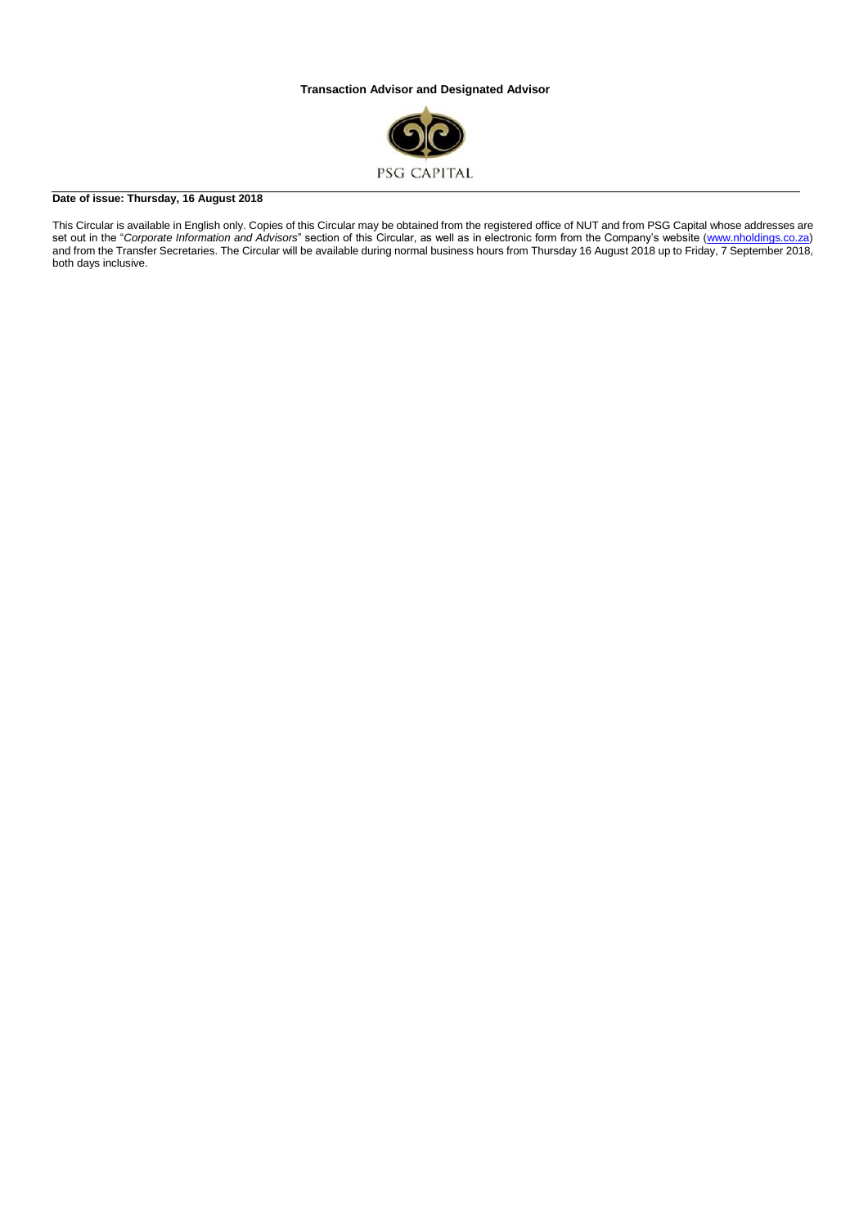#### **Transaction Advisor and Designated Advisor**



#### **Date of issue: Thursday, 16 August 2018**

This Circular is available in English only. Copies of this Circular may be obtained from the registered office of NUT and from PSG Capital whose addresses are set out in the "*Corporate Information and Advisors*" section of this Circular, as well as in electronic form from the Company's website [\(www.nholdings.co.za\)](http://www.nholdings.co.za/) and from the Transfer Secretaries. The Circular will be available during normal business hours from Thursday 16 August 2018 up to Friday, 7 September 2018, both days inclusive.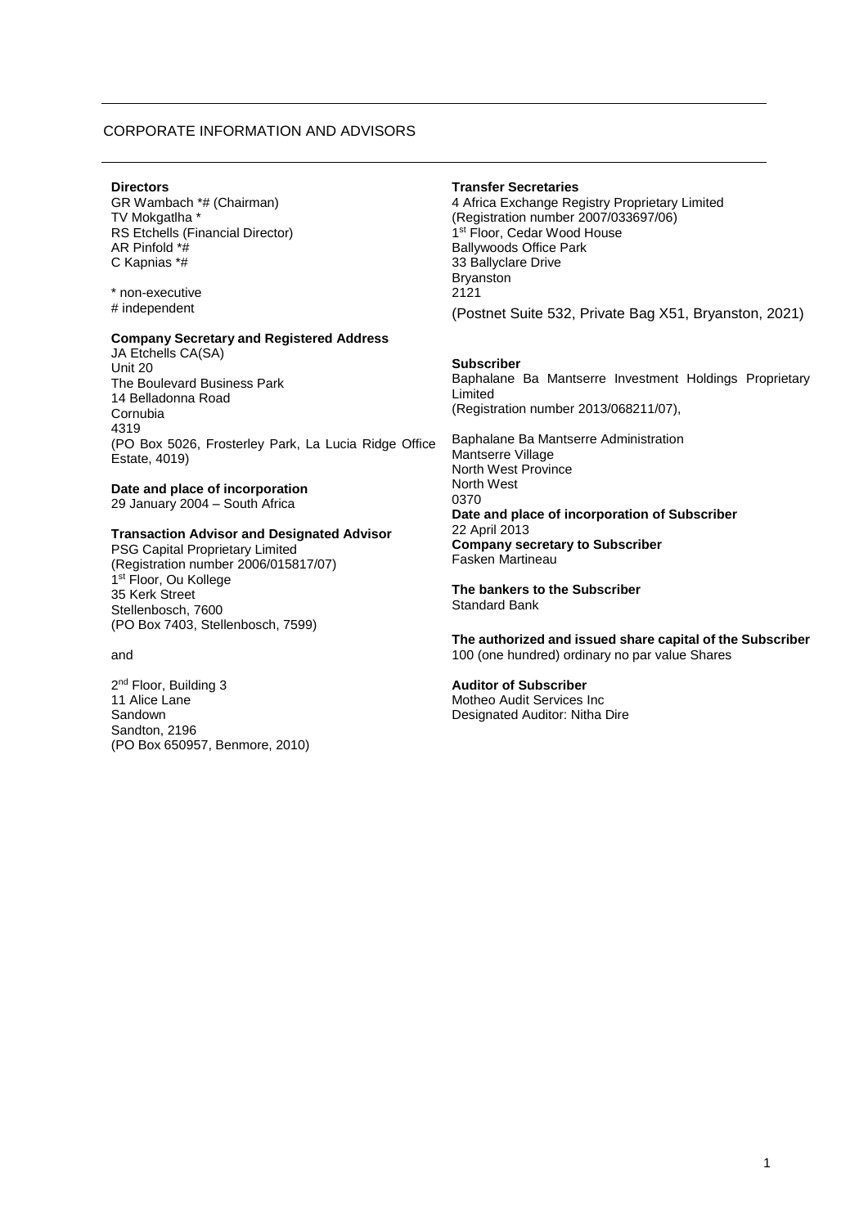#### CORPORATE INFORMATION AND ADVISORS

#### **Directors**

GR Wambach \*# (Chairman) TV Mokgatlha \* RS Etchells (Financial Director) AR Pinfold \*# C Kapnias \*#

\* non-executive # independent

#### **Company Secretary and Registered Address**

JA Etchells CA(SA) Unit 20 The Boulevard Business Park 14 Belladonna Road Cornubia 4319 (PO Box 5026, Frosterley Park, La Lucia Ridge Office Estate, 4019)

**Date and place of incorporation** 29 January 2004 – South Africa

#### **Transaction Advisor and Designated Advisor**

PSG Capital Proprietary Limited (Registration number 2006/015817/07) 1st Floor, Ou Kollege 35 Kerk Street Stellenbosch, 7600 (PO Box 7403, Stellenbosch, 7599)

#### and

2<sup>nd</sup> Floor, Building 3 11 Alice Lane Sandown Sandton, 2196 (PO Box 650957, Benmore, 2010)

#### **Transfer Secretaries**

4 Africa Exchange Registry Proprietary Limited (Registration number 2007/033697/06) 1 st Floor, Cedar Wood House Ballywoods Office Park 33 Ballyclare Drive Bryanston 2121 (Postnet Suite 532, Private Bag X51, Bryanston, 2021)

#### **Subscriber**

Baphalane Ba Mantserre Investment Holdings Proprietary Limited (Registration number 2013/068211/07),

Baphalane Ba Mantserre Administration Mantserre Village North West Province North West 0370 **Date and place of incorporation of Subscriber** 22 April 2013 **Company secretary to Subscriber** Fasken Martineau

**The bankers to the Subscriber** Standard Bank

**The authorized and issued share capital of the Subscriber** 100 (one hundred) ordinary no par value Shares

#### **Auditor of Subscriber**

Motheo Audit Services Inc Designated Auditor: Nitha Dire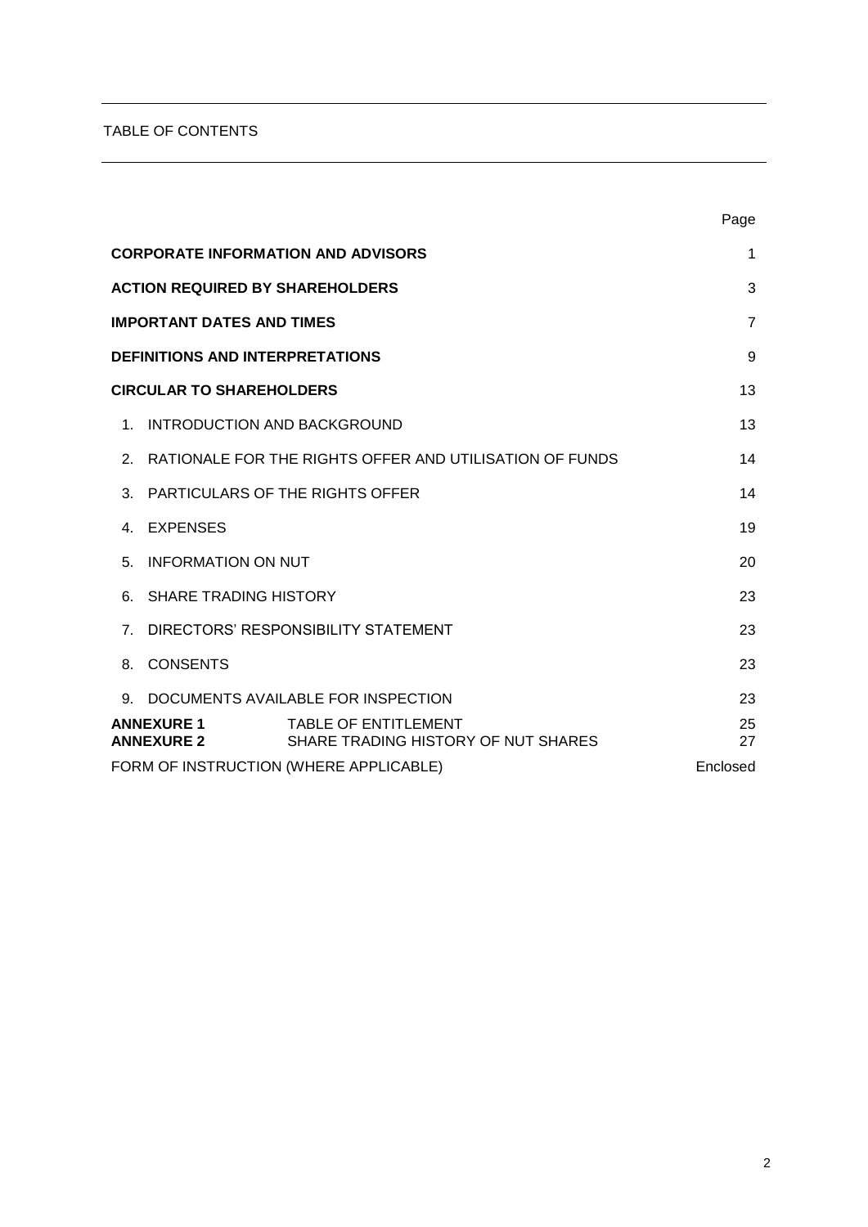# TABLE OF CONTENTS

|                                                                                                              |                                        |                                                         | Page           |
|--------------------------------------------------------------------------------------------------------------|----------------------------------------|---------------------------------------------------------|----------------|
|                                                                                                              |                                        | <b>CORPORATE INFORMATION AND ADVISORS</b>               | 1              |
|                                                                                                              | <b>ACTION REQUIRED BY SHAREHOLDERS</b> |                                                         | 3              |
|                                                                                                              | <b>IMPORTANT DATES AND TIMES</b>       |                                                         | $\overline{7}$ |
|                                                                                                              | <b>DEFINITIONS AND INTERPRETATIONS</b> |                                                         | 9              |
|                                                                                                              | <b>CIRCULAR TO SHAREHOLDERS</b>        |                                                         | 13             |
| 1.                                                                                                           | INTRODUCTION AND BACKGROUND            |                                                         | 13             |
| 2.                                                                                                           |                                        | RATIONALE FOR THE RIGHTS OFFER AND UTILISATION OF FUNDS | 14             |
| 3.                                                                                                           |                                        | <b>PARTICULARS OF THE RIGHTS OFFER</b>                  | 14             |
| 4                                                                                                            | <b>EXPENSES</b>                        |                                                         | 19             |
| 5.                                                                                                           | <b>INFORMATION ON NUT</b>              |                                                         | 20             |
| 6.                                                                                                           | <b>SHARE TRADING HISTORY</b>           |                                                         | 23             |
| $7^{\circ}$                                                                                                  |                                        | DIRECTORS' RESPONSIBILITY STATEMENT                     | 23             |
| 8.                                                                                                           | <b>CONSENTS</b>                        |                                                         | 23             |
| 9.                                                                                                           |                                        | DOCUMENTS AVAILABLE FOR INSPECTION                      | 23             |
| <b>ANNEXURE 1</b><br><b>TABLE OF ENTITLEMENT</b><br>SHARE TRADING HISTORY OF NUT SHARES<br><b>ANNEXURE 2</b> |                                        | 25<br>27                                                |                |
| FORM OF INSTRUCTION (WHERE APPLICABLE)<br>Enclosed                                                           |                                        |                                                         |                |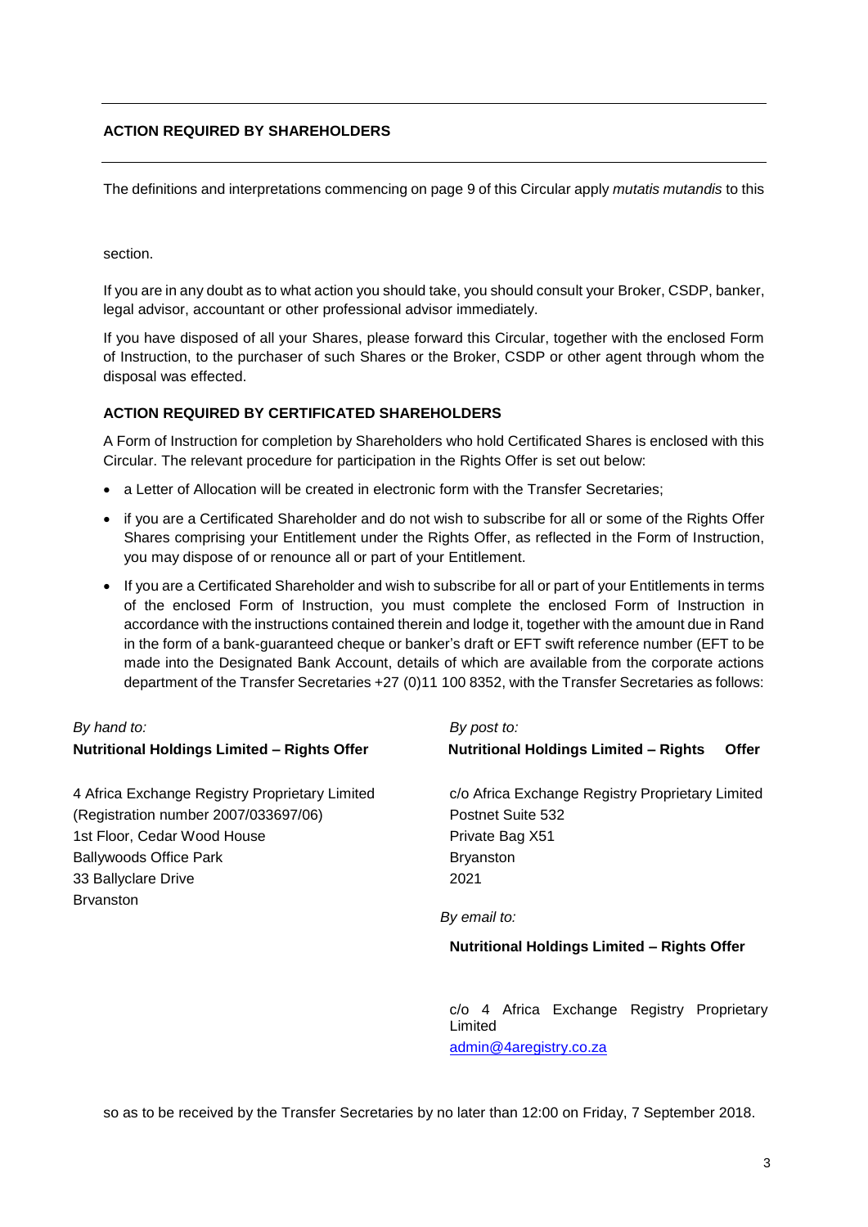The definitions and interpretations commencing on page 9 of this Circular apply *mutatis mutandis* to this

section.

If you are in any doubt as to what action you should take, you should consult your Broker, CSDP, banker, legal advisor, accountant or other professional advisor immediately.

If you have disposed of all your Shares, please forward this Circular, together with the enclosed Form of Instruction, to the purchaser of such Shares or the Broker, CSDP or other agent through whom the disposal was effected.

# **ACTION REQUIRED BY CERTIFICATED SHAREHOLDERS**

A Form of Instruction for completion by Shareholders who hold Certificated Shares is enclosed with this Circular. The relevant procedure for participation in the Rights Offer is set out below:

- a Letter of Allocation will be created in electronic form with the Transfer Secretaries;
- if you are a Certificated Shareholder and do not wish to subscribe for all or some of the Rights Offer Shares comprising your Entitlement under the Rights Offer, as reflected in the Form of Instruction, you may dispose of or renounce all or part of your Entitlement.
- If you are a Certificated Shareholder and wish to subscribe for all or part of your Entitlements in terms of the enclosed Form of Instruction, you must complete the enclosed Form of Instruction in accordance with the instructions contained therein and lodge it, together with the amount due in Rand in the form of a bank-guaranteed cheque or banker's draft or EFT swift reference number (EFT to be made into the Designated Bank Account, details of which are available from the corporate actions department of the Transfer Secretaries +27 (0)11 100 8352, with the Transfer Secretaries as follows:

# *By hand to: By post to:*

| <u>.,,,,,,,,,,,</u>                                | --------                                                     |
|----------------------------------------------------|--------------------------------------------------------------|
| <b>Nutritional Holdings Limited - Rights Offer</b> | <b>Nutritional Holdings Limited - Rights</b><br><b>Offer</b> |
| 4 Africa Exchange Registry Proprietary Limited     | c/o Africa Exchange Registry Proprietary Limited             |
| (Registration number 2007/033697/06)               | Postnet Suite 532                                            |
| 1st Floor, Cedar Wood House                        | Private Bag X51                                              |
| <b>Ballywoods Office Park</b>                      | <b>Bryanston</b>                                             |
| 33 Ballyclare Drive                                | 2021                                                         |
| <b>Brvanston</b>                                   |                                                              |
|                                                    | By email to:                                                 |
|                                                    | <b>Nutritional Holdings Limited - Rights Offer</b>           |
|                                                    |                                                              |
|                                                    |                                                              |

c/o 4 Africa Exchange Registry Proprietary Limited [admin@4aregistry.co.za](mailto:admin@4aregistry.co.za)

so as to be received by the Transfer Secretaries by no later than 12:00 on Friday, 7 September 2018.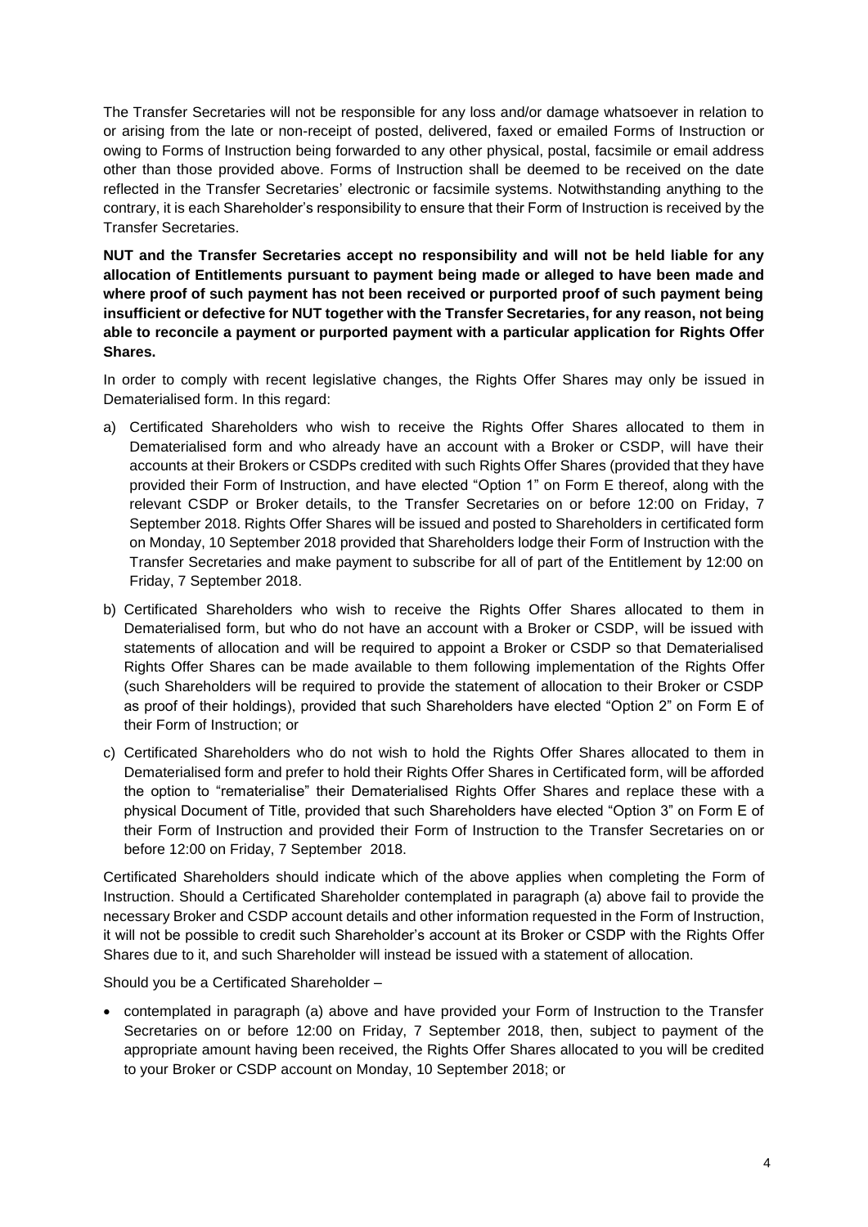The Transfer Secretaries will not be responsible for any loss and/or damage whatsoever in relation to or arising from the late or non-receipt of posted, delivered, faxed or emailed Forms of Instruction or owing to Forms of Instruction being forwarded to any other physical, postal, facsimile or email address other than those provided above. Forms of Instruction shall be deemed to be received on the date reflected in the Transfer Secretaries' electronic or facsimile systems. Notwithstanding anything to the contrary, it is each Shareholder's responsibility to ensure that their Form of Instruction is received by the Transfer Secretaries.

**NUT and the Transfer Secretaries accept no responsibility and will not be held liable for any allocation of Entitlements pursuant to payment being made or alleged to have been made and where proof of such payment has not been received or purported proof of such payment being insufficient or defective for NUT together with the Transfer Secretaries, for any reason, not being able to reconcile a payment or purported payment with a particular application for Rights Offer Shares.**

In order to comply with recent legislative changes, the Rights Offer Shares may only be issued in Dematerialised form. In this regard:

- a) Certificated Shareholders who wish to receive the Rights Offer Shares allocated to them in Dematerialised form and who already have an account with a Broker or CSDP, will have their accounts at their Brokers or CSDPs credited with such Rights Offer Shares (provided that they have provided their Form of Instruction, and have elected "Option 1" on Form E thereof, along with the relevant CSDP or Broker details, to the Transfer Secretaries on or before 12:00 on Friday, 7 September 2018. Rights Offer Shares will be issued and posted to Shareholders in certificated form on Monday, 10 September 2018 provided that Shareholders lodge their Form of Instruction with the Transfer Secretaries and make payment to subscribe for all of part of the Entitlement by 12:00 on Friday, 7 September 2018.
- b) Certificated Shareholders who wish to receive the Rights Offer Shares allocated to them in Dematerialised form, but who do not have an account with a Broker or CSDP, will be issued with statements of allocation and will be required to appoint a Broker or CSDP so that Dematerialised Rights Offer Shares can be made available to them following implementation of the Rights Offer (such Shareholders will be required to provide the statement of allocation to their Broker or CSDP as proof of their holdings), provided that such Shareholders have elected "Option 2" on Form E of their Form of Instruction; or
- c) Certificated Shareholders who do not wish to hold the Rights Offer Shares allocated to them in Dematerialised form and prefer to hold their Rights Offer Shares in Certificated form, will be afforded the option to "rematerialise" their Dematerialised Rights Offer Shares and replace these with a physical Document of Title, provided that such Shareholders have elected "Option 3" on Form E of their Form of Instruction and provided their Form of Instruction to the Transfer Secretaries on or before 12:00 on Friday, 7 September 2018.

Certificated Shareholders should indicate which of the above applies when completing the Form of Instruction. Should a Certificated Shareholder contemplated in paragraph (a) above fail to provide the necessary Broker and CSDP account details and other information requested in the Form of Instruction, it will not be possible to credit such Shareholder's account at its Broker or CSDP with the Rights Offer Shares due to it, and such Shareholder will instead be issued with a statement of allocation.

Should you be a Certificated Shareholder –

• contemplated in paragraph (a) above and have provided your Form of Instruction to the Transfer Secretaries on or before 12:00 on Friday, 7 September 2018, then, subject to payment of the appropriate amount having been received, the Rights Offer Shares allocated to you will be credited to your Broker or CSDP account on Monday, 10 September 2018; or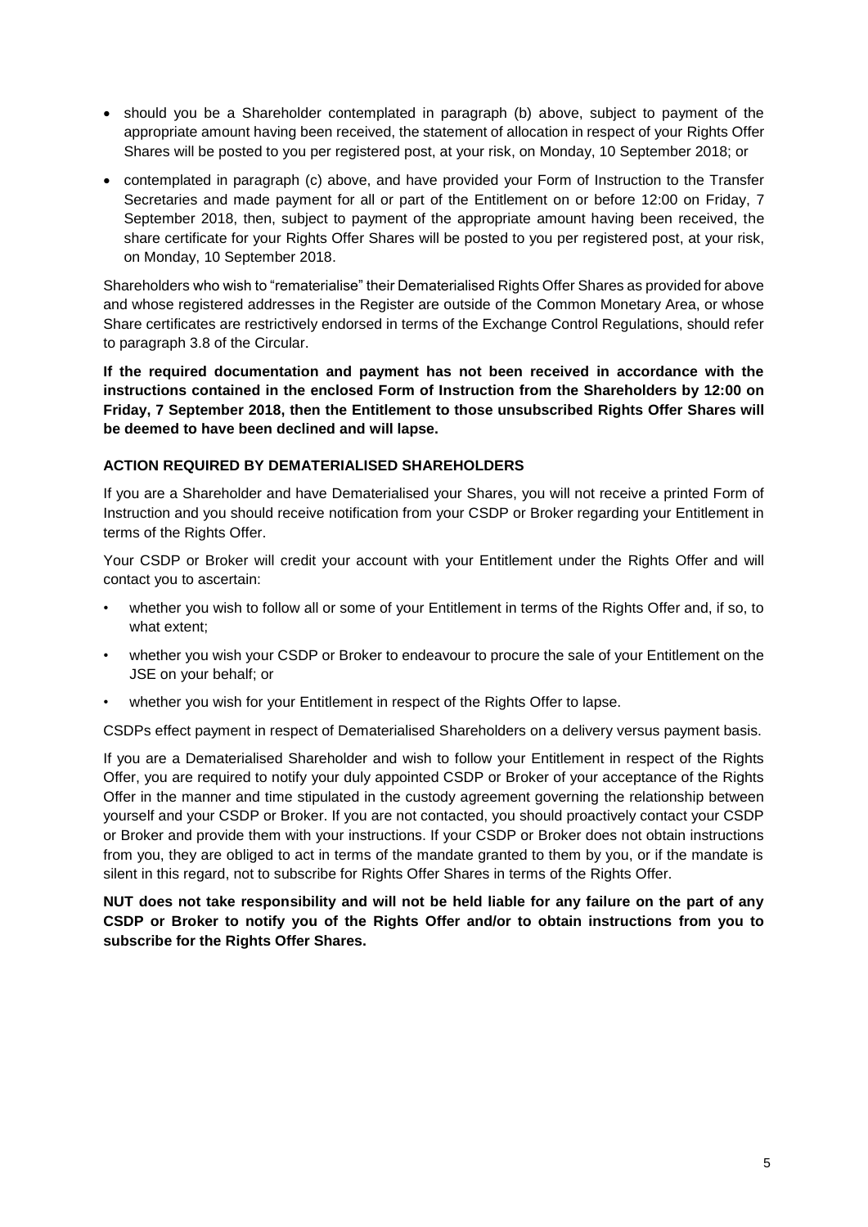- should you be a Shareholder contemplated in paragraph (b) above, subject to payment of the appropriate amount having been received, the statement of allocation in respect of your Rights Offer Shares will be posted to you per registered post, at your risk, on Monday, 10 September 2018; or
- contemplated in paragraph (c) above, and have provided your Form of Instruction to the Transfer Secretaries and made payment for all or part of the Entitlement on or before 12:00 on Friday, 7 September 2018, then, subject to payment of the appropriate amount having been received, the share certificate for your Rights Offer Shares will be posted to you per registered post, at your risk, on Monday, 10 September 2018.

Shareholders who wish to "rematerialise" their Dematerialised Rights Offer Shares as provided for above and whose registered addresses in the Register are outside of the Common Monetary Area, or whose Share certificates are restrictively endorsed in terms of the Exchange Control Regulations, should refer to paragraph [3.8](#page-16-0) of the Circular.

**If the required documentation and payment has not been received in accordance with the instructions contained in the enclosed Form of Instruction from the Shareholders by 12:00 on Friday, 7 September 2018, then the Entitlement to those unsubscribed Rights Offer Shares will be deemed to have been declined and will lapse.**

# **ACTION REQUIRED BY DEMATERIALISED SHAREHOLDERS**

If you are a Shareholder and have Dematerialised your Shares, you will not receive a printed Form of Instruction and you should receive notification from your CSDP or Broker regarding your Entitlement in terms of the Rights Offer.

Your CSDP or Broker will credit your account with your Entitlement under the Rights Offer and will contact you to ascertain:

- whether you wish to follow all or some of your Entitlement in terms of the Rights Offer and, if so, to what extent;
- whether you wish your CSDP or Broker to endeavour to procure the sale of your Entitlement on the JSE on your behalf; or
- whether you wish for your Entitlement in respect of the Rights Offer to lapse.

CSDPs effect payment in respect of Dematerialised Shareholders on a delivery versus payment basis.

If you are a Dematerialised Shareholder and wish to follow your Entitlement in respect of the Rights Offer, you are required to notify your duly appointed CSDP or Broker of your acceptance of the Rights Offer in the manner and time stipulated in the custody agreement governing the relationship between yourself and your CSDP or Broker. If you are not contacted, you should proactively contact your CSDP or Broker and provide them with your instructions. If your CSDP or Broker does not obtain instructions from you, they are obliged to act in terms of the mandate granted to them by you, or if the mandate is silent in this regard, not to subscribe for Rights Offer Shares in terms of the Rights Offer.

**NUT does not take responsibility and will not be held liable for any failure on the part of any CSDP or Broker to notify you of the Rights Offer and/or to obtain instructions from you to subscribe for the Rights Offer Shares.**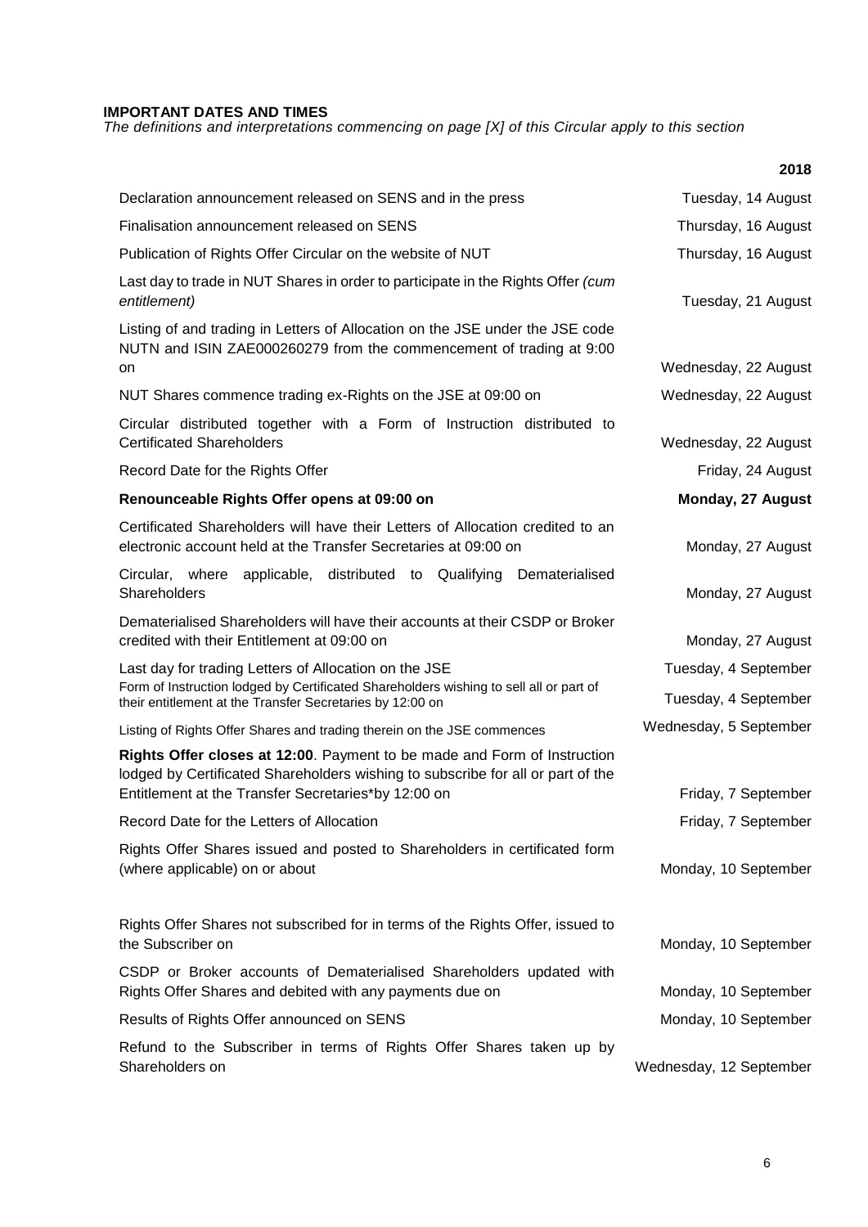# **IMPORTANT DATES AND TIMES**

*The definitions and interpretations commencing on page [X] of this Circular apply to this section*

|                                                                                                                                                                                                                    | 2018                                         |
|--------------------------------------------------------------------------------------------------------------------------------------------------------------------------------------------------------------------|----------------------------------------------|
| Declaration announcement released on SENS and in the press                                                                                                                                                         | Tuesday, 14 August                           |
| Finalisation announcement released on SENS                                                                                                                                                                         | Thursday, 16 August                          |
| Publication of Rights Offer Circular on the website of NUT                                                                                                                                                         | Thursday, 16 August                          |
| Last day to trade in NUT Shares in order to participate in the Rights Offer (cum<br>entitlement)                                                                                                                   | Tuesday, 21 August                           |
| Listing of and trading in Letters of Allocation on the JSE under the JSE code<br>NUTN and ISIN ZAE000260279 from the commencement of trading at 9:00<br>on                                                         | Wednesday, 22 August                         |
| NUT Shares commence trading ex-Rights on the JSE at 09:00 on                                                                                                                                                       | Wednesday, 22 August                         |
| Circular distributed together with a Form of Instruction distributed to<br><b>Certificated Shareholders</b>                                                                                                        | Wednesday, 22 August                         |
| Record Date for the Rights Offer                                                                                                                                                                                   | Friday, 24 August                            |
| Renounceable Rights Offer opens at 09:00 on                                                                                                                                                                        | Monday, 27 August                            |
| Certificated Shareholders will have their Letters of Allocation credited to an<br>electronic account held at the Transfer Secretaries at 09:00 on                                                                  | Monday, 27 August                            |
| applicable, distributed to Qualifying Dematerialised<br>Circular, where<br>Shareholders                                                                                                                            | Monday, 27 August                            |
| Dematerialised Shareholders will have their accounts at their CSDP or Broker<br>credited with their Entitlement at 09:00 on                                                                                        | Monday, 27 August                            |
| Last day for trading Letters of Allocation on the JSE<br>Form of Instruction lodged by Certificated Shareholders wishing to sell all or part of<br>their entitlement at the Transfer Secretaries by 12:00 on       | Tuesday, 4 September<br>Tuesday, 4 September |
| Listing of Rights Offer Shares and trading therein on the JSE commences                                                                                                                                            | Wednesday, 5 September                       |
| Rights Offer closes at 12:00. Payment to be made and Form of Instruction<br>lodged by Certificated Shareholders wishing to subscribe for all or part of the<br>Entitlement at the Transfer Secretaries*by 12:00 on | Friday, 7 September                          |
| Record Date for the Letters of Allocation                                                                                                                                                                          | Friday, 7 September                          |
| Rights Offer Shares issued and posted to Shareholders in certificated form<br>(where applicable) on or about                                                                                                       | Monday, 10 September                         |
| Rights Offer Shares not subscribed for in terms of the Rights Offer, issued to<br>the Subscriber on                                                                                                                | Monday, 10 September                         |
| CSDP or Broker accounts of Dematerialised Shareholders updated with<br>Rights Offer Shares and debited with any payments due on                                                                                    | Monday, 10 September                         |
| Results of Rights Offer announced on SENS                                                                                                                                                                          | Monday, 10 September                         |
| Refund to the Subscriber in terms of Rights Offer Shares taken up by<br>Shareholders on                                                                                                                            | Wednesday, 12 September                      |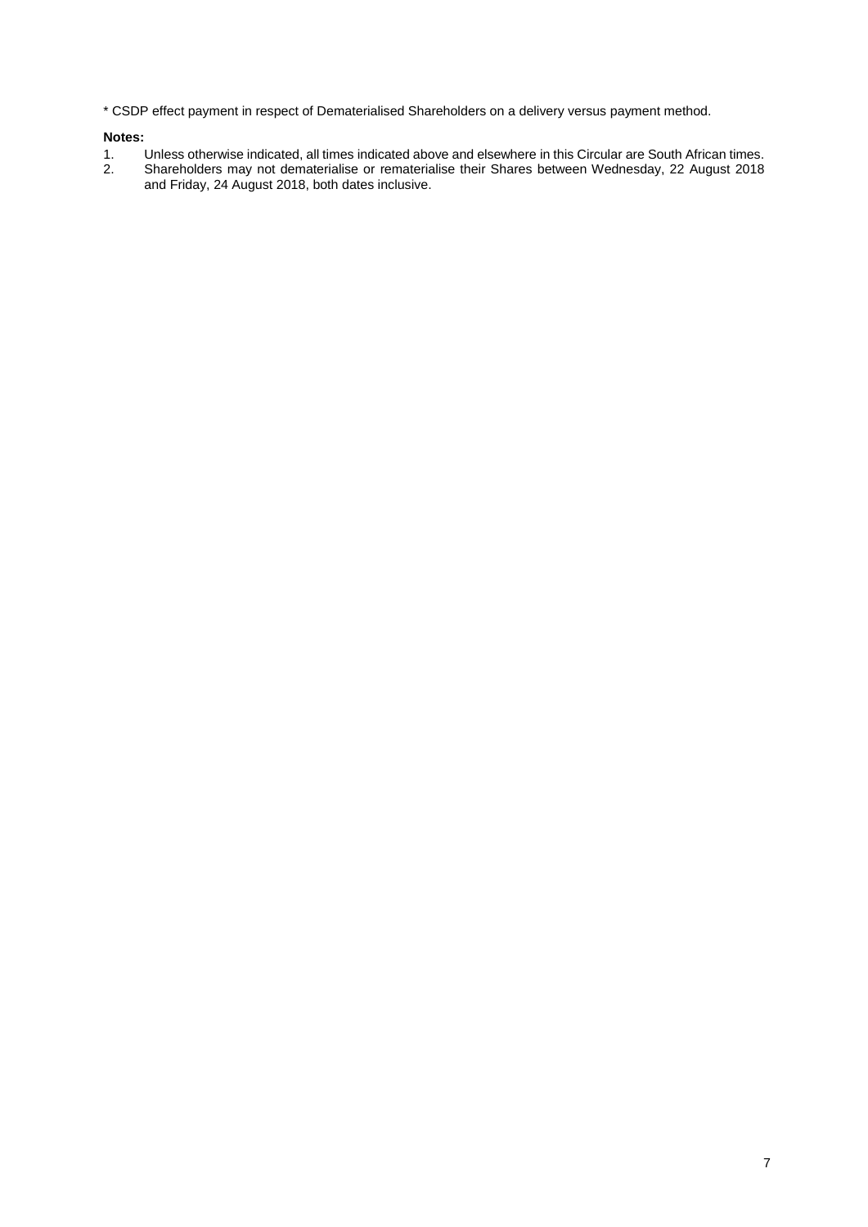\* CSDP effect payment in respect of Dematerialised Shareholders on a delivery versus payment method.

#### **Notes:**

- 1. Unless otherwise indicated, all times indicated above and elsewhere in this Circular are South African times.
- 2. Shareholders may not dematerialise or rematerialise their Shares between Wednesday, 22 August 2018 and Friday, 24 August 2018, both dates inclusive.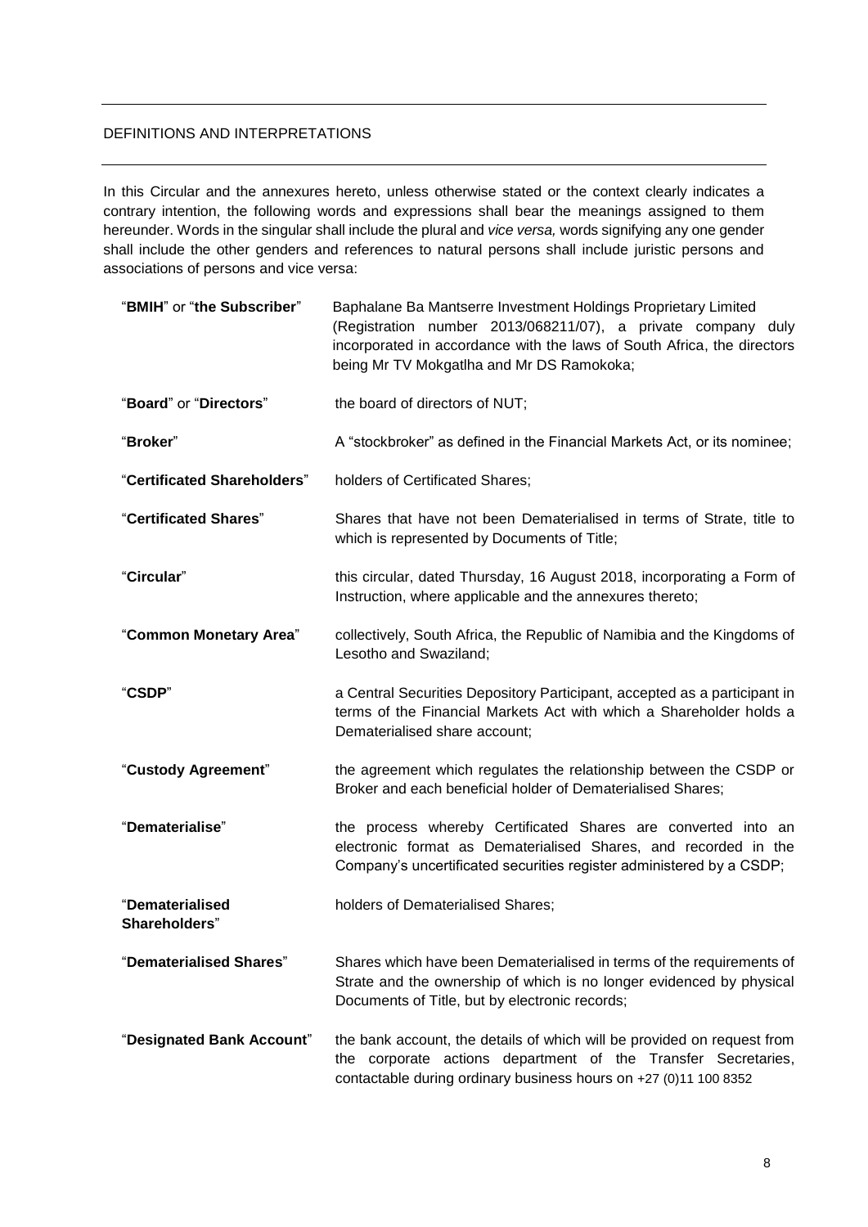# DEFINITIONS AND INTERPRETATIONS

In this Circular and the annexures hereto, unless otherwise stated or the context clearly indicates a contrary intention, the following words and expressions shall bear the meanings assigned to them hereunder. Words in the singular shall include the plural and *vice versa,* words signifying any one gender shall include the other genders and references to natural persons shall include juristic persons and associations of persons and vice versa:

| "BMIH" or "the Subscriber"       | Baphalane Ba Mantserre Investment Holdings Proprietary Limited<br>(Registration number 2013/068211/07), a private company duly<br>incorporated in accordance with the laws of South Africa, the directors<br>being Mr TV Mokgatlha and Mr DS Ramokoka; |
|----------------------------------|--------------------------------------------------------------------------------------------------------------------------------------------------------------------------------------------------------------------------------------------------------|
| "Board" or "Directors"           | the board of directors of NUT;                                                                                                                                                                                                                         |
| "Broker"                         | A "stockbroker" as defined in the Financial Markets Act, or its nominee;                                                                                                                                                                               |
| "Certificated Shareholders"      | holders of Certificated Shares;                                                                                                                                                                                                                        |
| "Certificated Shares"            | Shares that have not been Dematerialised in terms of Strate, title to<br>which is represented by Documents of Title;                                                                                                                                   |
| "Circular"                       | this circular, dated Thursday, 16 August 2018, incorporating a Form of<br>Instruction, where applicable and the annexures thereto;                                                                                                                     |
| "Common Monetary Area"           | collectively, South Africa, the Republic of Namibia and the Kingdoms of<br>Lesotho and Swaziland;                                                                                                                                                      |
| "CSDP"                           | a Central Securities Depository Participant, accepted as a participant in<br>terms of the Financial Markets Act with which a Shareholder holds a<br>Dematerialised share account;                                                                      |
| "Custody Agreement"              | the agreement which regulates the relationship between the CSDP or<br>Broker and each beneficial holder of Dematerialised Shares;                                                                                                                      |
| "Dematerialise"                  | the process whereby Certificated Shares are converted into an<br>electronic format as Dematerialised Shares, and recorded in the<br>Company's uncertificated securities register administered by a CSDP;                                               |
| "Dematerialised<br>Shareholders" | holders of Dematerialised Shares;                                                                                                                                                                                                                      |
| "Dematerialised Shares"          | Shares which have been Dematerialised in terms of the requirements of<br>Strate and the ownership of which is no longer evidenced by physical<br>Documents of Title, but by electronic records;                                                        |
| "Designated Bank Account"        | the bank account, the details of which will be provided on request from<br>the corporate actions department of the Transfer Secretaries,<br>contactable during ordinary business hours on +27 (0)11 100 8352                                           |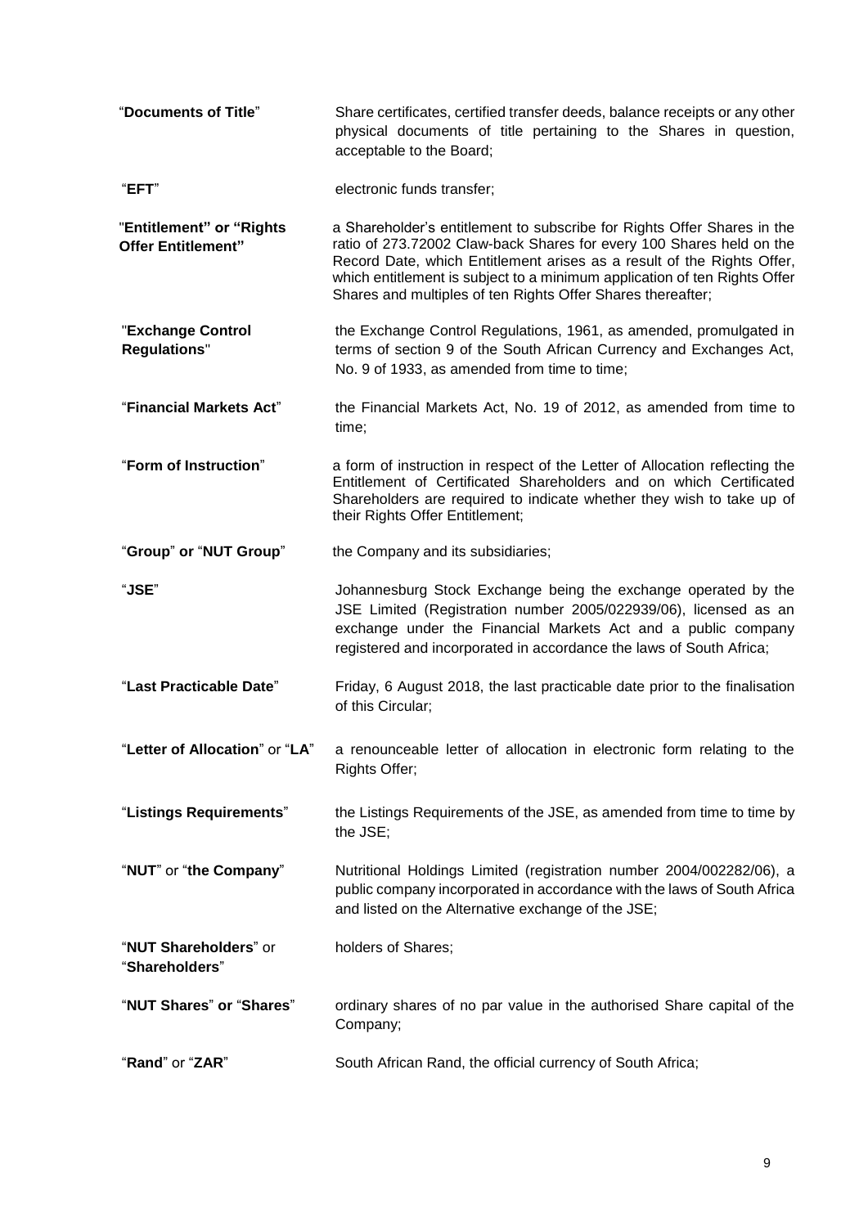| "Documents of Title"                                  | Share certificates, certified transfer deeds, balance receipts or any other<br>physical documents of title pertaining to the Shares in question,<br>acceptable to the Board;                                                                                                                                                                                          |
|-------------------------------------------------------|-----------------------------------------------------------------------------------------------------------------------------------------------------------------------------------------------------------------------------------------------------------------------------------------------------------------------------------------------------------------------|
| "EFT"                                                 | electronic funds transfer;                                                                                                                                                                                                                                                                                                                                            |
| "Entitlement" or "Rights<br><b>Offer Entitlement"</b> | a Shareholder's entitlement to subscribe for Rights Offer Shares in the<br>ratio of 273.72002 Claw-back Shares for every 100 Shares held on the<br>Record Date, which Entitlement arises as a result of the Rights Offer,<br>which entitlement is subject to a minimum application of ten Rights Offer<br>Shares and multiples of ten Rights Offer Shares thereafter; |
| "Exchange Control<br><b>Regulations"</b>              | the Exchange Control Regulations, 1961, as amended, promulgated in<br>terms of section 9 of the South African Currency and Exchanges Act,<br>No. 9 of 1933, as amended from time to time;                                                                                                                                                                             |
| "Financial Markets Act"                               | the Financial Markets Act, No. 19 of 2012, as amended from time to<br>time;                                                                                                                                                                                                                                                                                           |
| "Form of Instruction"                                 | a form of instruction in respect of the Letter of Allocation reflecting the<br>Entitlement of Certificated Shareholders and on which Certificated<br>Shareholders are required to indicate whether they wish to take up of<br>their Rights Offer Entitlement;                                                                                                         |
| "Group" or "NUT Group"                                | the Company and its subsidiaries;                                                                                                                                                                                                                                                                                                                                     |
| "JSE"                                                 | Johannesburg Stock Exchange being the exchange operated by the<br>JSE Limited (Registration number 2005/022939/06), licensed as an<br>exchange under the Financial Markets Act and a public company<br>registered and incorporated in accordance the laws of South Africa;                                                                                            |
| "Last Practicable Date"                               | Friday, 6 August 2018, the last practicable date prior to the finalisation<br>of this Circular;                                                                                                                                                                                                                                                                       |
| "Letter of Allocation" or "LA"                        | a renounceable letter of allocation in electronic form relating to the<br>Rights Offer;                                                                                                                                                                                                                                                                               |
| "Listings Requirements"                               | the Listings Requirements of the JSE, as amended from time to time by<br>the JSE;                                                                                                                                                                                                                                                                                     |
| "NUT" or "the Company"                                | Nutritional Holdings Limited (registration number 2004/002282/06), a<br>public company incorporated in accordance with the laws of South Africa<br>and listed on the Alternative exchange of the JSE;                                                                                                                                                                 |
| "NUT Shareholders" or<br>"Shareholders"               | holders of Shares;                                                                                                                                                                                                                                                                                                                                                    |
| "NUT Shares" or "Shares"                              | ordinary shares of no par value in the authorised Share capital of the<br>Company;                                                                                                                                                                                                                                                                                    |
| "Rand" or "ZAR"                                       | South African Rand, the official currency of South Africa;                                                                                                                                                                                                                                                                                                            |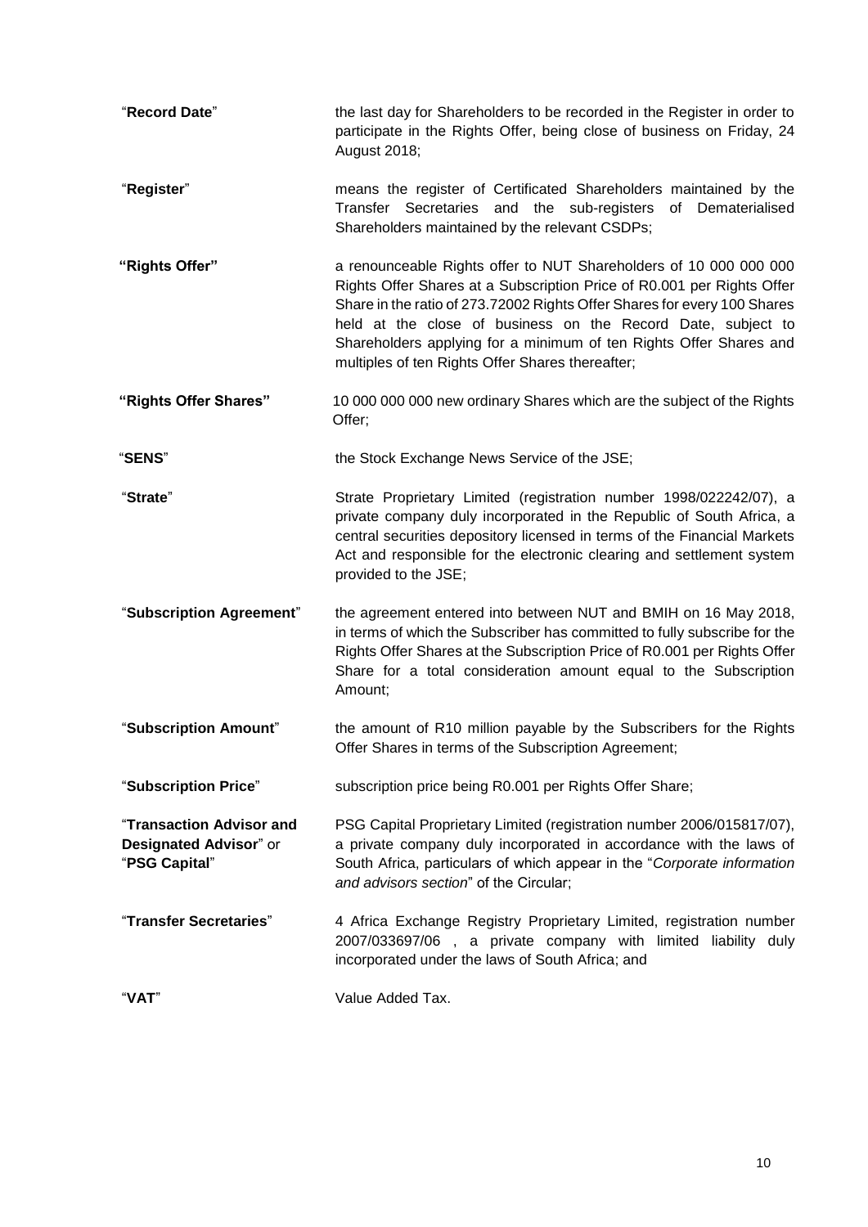| "Record Date"                                                       | the last day for Shareholders to be recorded in the Register in order to<br>participate in the Rights Offer, being close of business on Friday, 24<br>August 2018;                                                                                                                                                                                                                                                |
|---------------------------------------------------------------------|-------------------------------------------------------------------------------------------------------------------------------------------------------------------------------------------------------------------------------------------------------------------------------------------------------------------------------------------------------------------------------------------------------------------|
| "Register"                                                          | means the register of Certificated Shareholders maintained by the<br>Transfer Secretaries and the sub-registers of<br>Dematerialised<br>Shareholders maintained by the relevant CSDPs;                                                                                                                                                                                                                            |
| "Rights Offer"                                                      | a renounceable Rights offer to NUT Shareholders of 10 000 000 000<br>Rights Offer Shares at a Subscription Price of R0.001 per Rights Offer<br>Share in the ratio of 273.72002 Rights Offer Shares for every 100 Shares<br>held at the close of business on the Record Date, subject to<br>Shareholders applying for a minimum of ten Rights Offer Shares and<br>multiples of ten Rights Offer Shares thereafter; |
| "Rights Offer Shares"                                               | 10 000 000 000 new ordinary Shares which are the subject of the Rights<br>Offer;                                                                                                                                                                                                                                                                                                                                  |
| "SENS"                                                              | the Stock Exchange News Service of the JSE;                                                                                                                                                                                                                                                                                                                                                                       |
| "Strate"                                                            | Strate Proprietary Limited (registration number 1998/022242/07), a<br>private company duly incorporated in the Republic of South Africa, a<br>central securities depository licensed in terms of the Financial Markets<br>Act and responsible for the electronic clearing and settlement system<br>provided to the JSE;                                                                                           |
| "Subscription Agreement"                                            | the agreement entered into between NUT and BMIH on 16 May 2018,<br>in terms of which the Subscriber has committed to fully subscribe for the<br>Rights Offer Shares at the Subscription Price of R0.001 per Rights Offer<br>Share for a total consideration amount equal to the Subscription<br>Amount;                                                                                                           |
| "Subscription Amount"                                               | the amount of R10 million payable by the Subscribers for the Rights<br>Offer Shares in terms of the Subscription Agreement;                                                                                                                                                                                                                                                                                       |
| "Subscription Price"                                                | subscription price being R0.001 per Rights Offer Share;                                                                                                                                                                                                                                                                                                                                                           |
| "Transaction Advisor and<br>Designated Advisor" or<br>"PSG Capital" | PSG Capital Proprietary Limited (registration number 2006/015817/07),<br>a private company duly incorporated in accordance with the laws of<br>South Africa, particulars of which appear in the "Corporate information<br>and advisors section" of the Circular;                                                                                                                                                  |
| "Transfer Secretaries"                                              | 4 Africa Exchange Registry Proprietary Limited, registration number<br>2007/033697/06, a private company with limited liability duly<br>incorporated under the laws of South Africa; and                                                                                                                                                                                                                          |
| "VAT"                                                               | Value Added Tax.                                                                                                                                                                                                                                                                                                                                                                                                  |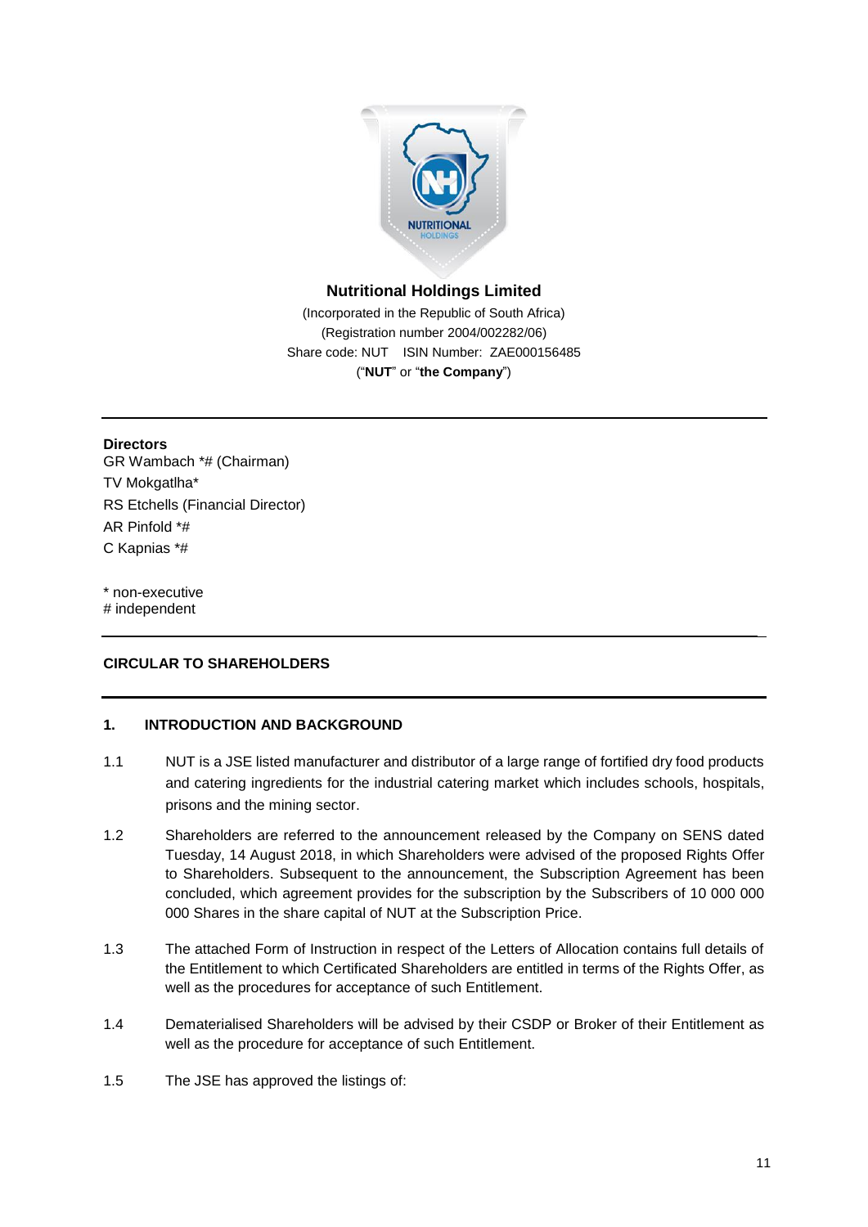

# **Nutritional Holdings Limited**

(Incorporated in the Republic of South Africa) (Registration number 2004/002282/06) Share code: NUT ISIN Number: ZAE000156485 ("**NUT**" or "**the Company**")

**Directors** GR Wambach \*# (Chairman) TV Mokgatlha\* RS Etchells (Financial Director) AR Pinfold \*# C Kapnias \*#

\* non-executive # independent

# **CIRCULAR TO SHAREHOLDERS**

# **1. INTRODUCTION AND BACKGROUND**

- 1.1 NUT is a JSE listed manufacturer and distributor of a large range of fortified dry food products and catering ingredients for the industrial catering market which includes schools, hospitals, prisons and the mining sector.
- 1.2 Shareholders are referred to the announcement released by the Company on SENS dated Tuesday, 14 August 2018, in which Shareholders were advised of the proposed Rights Offer to Shareholders. Subsequent to the announcement, the Subscription Agreement has been concluded, which agreement provides for the subscription by the Subscribers of 10 000 000 000 Shares in the share capital of NUT at the Subscription Price.
- 1.3 The attached Form of Instruction in respect of the Letters of Allocation contains full details of the Entitlement to which Certificated Shareholders are entitled in terms of the Rights Offer, as well as the procedures for acceptance of such Entitlement.
- 1.4 Dematerialised Shareholders will be advised by their CSDP or Broker of their Entitlement as well as the procedure for acceptance of such Entitlement.
- 1.5 The JSE has approved the listings of: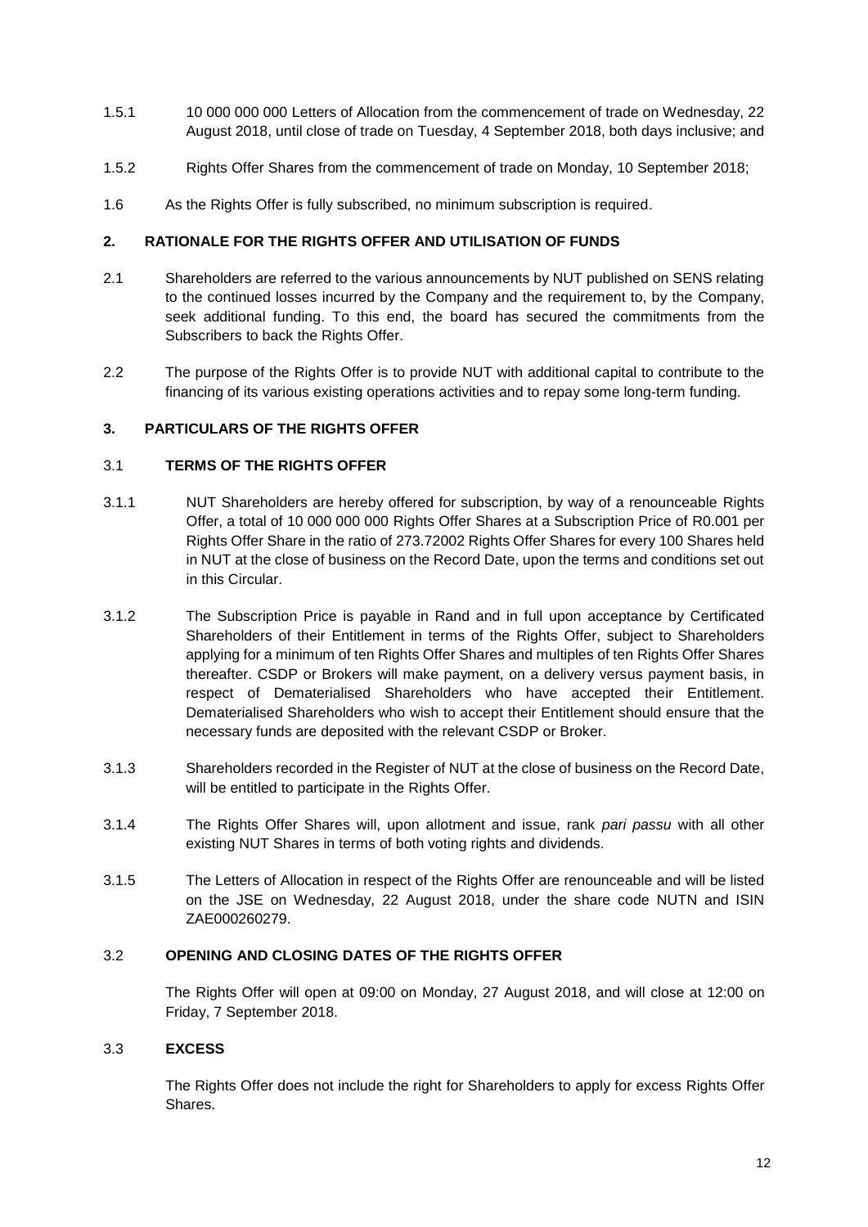- 1.5.1 10 000 000 000 Letters of Allocation from the commencement of trade on Wednesday, 22 August 2018, until close of trade on Tuesday, 4 September 2018, both days inclusive; and
- 1.5.2 Rights Offer Shares from the commencement of trade on Monday, 10 September 2018;
- 1.6 As the Rights Offer is fully subscribed, no minimum subscription is required.

# **2. RATIONALE FOR THE RIGHTS OFFER AND UTILISATION OF FUNDS**

- 2.1 Shareholders are referred to the various announcements by NUT published on SENS relating to the continued losses incurred by the Company and the requirement to, by the Company, seek additional funding. To this end, the board has secured the commitments from the Subscribers to back the Rights Offer.
- 2.2 The purpose of the Rights Offer is to provide NUT with additional capital to contribute to the financing of its various existing operations activities and to repay some long-term funding.

# **3. PARTICULARS OF THE RIGHTS OFFER**

# 3.1 **TERMS OF THE RIGHTS OFFER**

- 3.1.1 NUT Shareholders are hereby offered for subscription, by way of a renounceable Rights Offer, a total of 10 000 000 000 Rights Offer Shares at a Subscription Price of R0.001 per Rights Offer Share in the ratio of 273.72002 Rights Offer Shares for every 100 Shares held in NUT at the close of business on the Record Date, upon the terms and conditions set out in this Circular.
- 3.1.2 The Subscription Price is payable in Rand and in full upon acceptance by Certificated Shareholders of their Entitlement in terms of the Rights Offer, subject to Shareholders applying for a minimum of ten Rights Offer Shares and multiples of ten Rights Offer Shares thereafter. CSDP or Brokers will make payment, on a delivery versus payment basis, in respect of Dematerialised Shareholders who have accepted their Entitlement. Dematerialised Shareholders who wish to accept their Entitlement should ensure that the necessary funds are deposited with the relevant CSDP or Broker.
- 3.1.3 Shareholders recorded in the Register of NUT at the close of business on the Record Date, will be entitled to participate in the Rights Offer.
- 3.1.4 The Rights Offer Shares will, upon allotment and issue, rank *pari passu* with all other existing NUT Shares in terms of both voting rights and dividends.
- 3.1.5 The Letters of Allocation in respect of the Rights Offer are renounceable and will be listed on the JSE on Wednesday, 22 August 2018, under the share code NUTN and ISIN ZAE000260279.

# 3.2 **OPENING AND CLOSING DATES OF THE RIGHTS OFFER**

The Rights Offer will open at 09:00 on Monday, 27 August 2018, and will close at 12:00 on Friday, 7 September 2018.

# 3.3 **EXCESS**

The Rights Offer does not include the right for Shareholders to apply for excess Rights Offer Shares.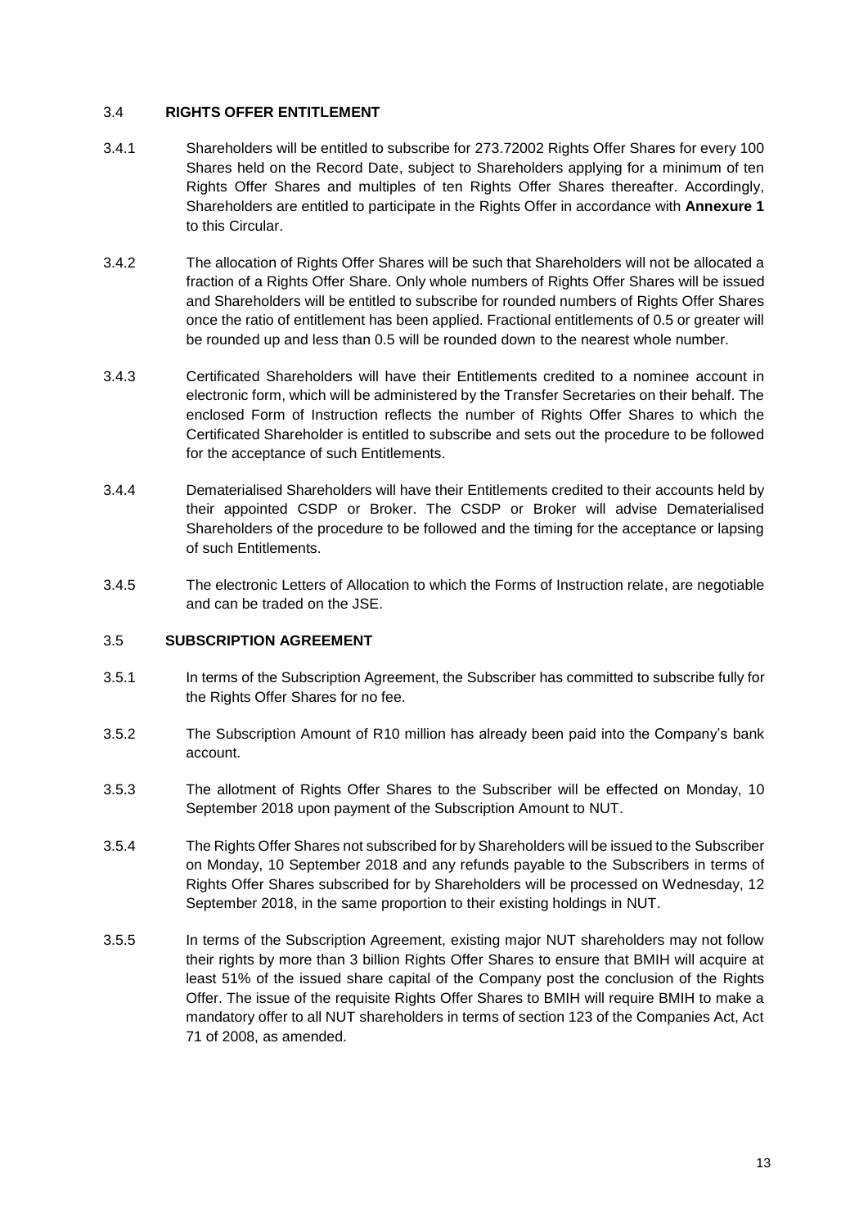#### 3.4 **RIGHTS OFFER ENTITLEMENT**

- 3.4.1 Shareholders will be entitled to subscribe for 273.72002 Rights Offer Shares for every 100 Shares held on the Record Date, subject to Shareholders applying for a minimum of ten Rights Offer Shares and multiples of ten Rights Offer Shares thereafter. Accordingly, Shareholders are entitled to participate in the Rights Offer in accordance with **Annexure 1** to this Circular.
- 3.4.2 The allocation of Rights Offer Shares will be such that Shareholders will not be allocated a fraction of a Rights Offer Share. Only whole numbers of Rights Offer Shares will be issued and Shareholders will be entitled to subscribe for rounded numbers of Rights Offer Shares once the ratio of entitlement has been applied. Fractional entitlements of 0.5 or greater will be rounded up and less than 0.5 will be rounded down to the nearest whole number.
- 3.4.3 Certificated Shareholders will have their Entitlements credited to a nominee account in electronic form, which will be administered by the Transfer Secretaries on their behalf. The enclosed Form of Instruction reflects the number of Rights Offer Shares to which the Certificated Shareholder is entitled to subscribe and sets out the procedure to be followed for the acceptance of such Entitlements.
- 3.4.4 Dematerialised Shareholders will have their Entitlements credited to their accounts held by their appointed CSDP or Broker. The CSDP or Broker will advise Dematerialised Shareholders of the procedure to be followed and the timing for the acceptance or lapsing of such Entitlements.
- 3.4.5 The electronic Letters of Allocation to which the Forms of Instruction relate, are negotiable and can be traded on the JSE.

#### 3.5 **SUBSCRIPTION AGREEMENT**

- 3.5.1 In terms of the Subscription Agreement, the Subscriber has committed to subscribe fully for the Rights Offer Shares for no fee.
- 3.5.2 The Subscription Amount of R10 million has already been paid into the Company's bank account.
- 3.5.3 The allotment of Rights Offer Shares to the Subscriber will be effected on Monday, 10 September 2018 upon payment of the Subscription Amount to NUT.
- 3.5.4 The Rights Offer Shares not subscribed for by Shareholders will be issued to the Subscriber on Monday, 10 September 2018 and any refunds payable to the Subscribers in terms of Rights Offer Shares subscribed for by Shareholders will be processed on Wednesday, 12 September 2018, in the same proportion to their existing holdings in NUT.
- 3.5.5 In terms of the Subscription Agreement, existing major NUT shareholders may not follow their rights by more than 3 billion Rights Offer Shares to ensure that BMIH will acquire at least 51% of the issued share capital of the Company post the conclusion of the Rights Offer. The issue of the requisite Rights Offer Shares to BMIH will require BMIH to make a mandatory offer to all NUT shareholders in terms of section 123 of the Companies Act, Act 71 of 2008, as amended.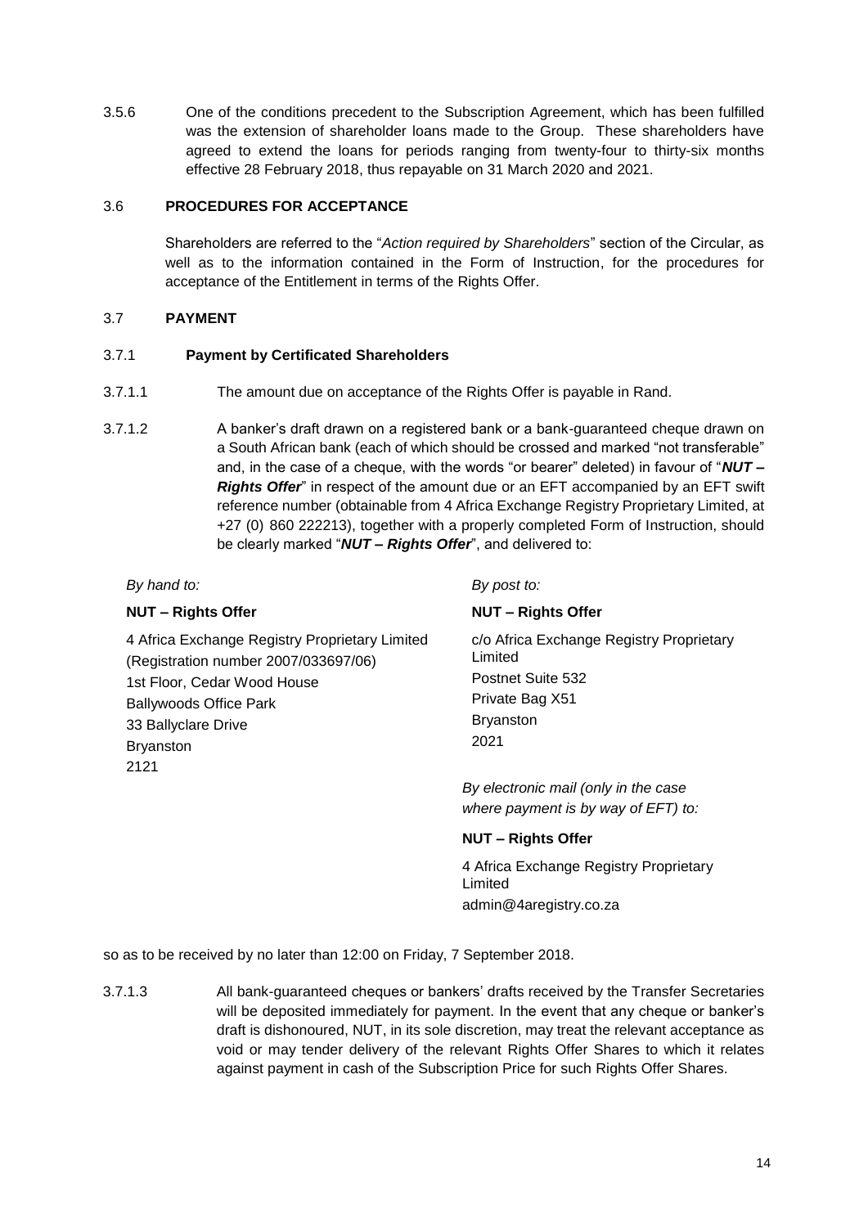3.5.6 One of the conditions precedent to the Subscription Agreement, which has been fulfilled was the extension of shareholder loans made to the Group. These shareholders have agreed to extend the loans for periods ranging from twenty-four to thirty-six months effective 28 February 2018, thus repayable on 31 March 2020 and 2021.

# 3.6 **PROCEDURES FOR ACCEPTANCE**

Shareholders are referred to the "*Action required by Shareholders*" section of the Circular, as well as to the information contained in the Form of Instruction, for the procedures for acceptance of the Entitlement in terms of the Rights Offer.

# 3.7 **PAYMENT**

# 3.7.1 **Payment by Certificated Shareholders**

- 3.7.1.1 The amount due on acceptance of the Rights Offer is payable in Rand.
- 3.7.1.2 A banker's draft drawn on a registered bank or a bank-guaranteed cheque drawn on a South African bank (each of which should be crossed and marked "not transferable" and, in the case of a cheque, with the words "or bearer" deleted) in favour of "*NUT – Rights Offer*" in respect of the amount due or an EFT accompanied by an EFT swift reference number (obtainable from 4 Africa Exchange Registry Proprietary Limited, at +27 (0) 860 222213), together with a properly completed Form of Instruction, should be clearly marked "*NUT – Rights Offer*", and delivered to:

# *By hand to: By post to:*

# **NUT – Rights Offer NUT – Rights Offer**

4 Africa Exchange Registry Proprietary Limited (Registration number 2007/033697/06) 1st Floor, Cedar Wood House Ballywoods Office Park 33 Ballyclare Drive Bryanston 2121

c/o Africa Exchange Registry Proprietary Limited Postnet Suite 532 Private Bag X51 Bryanston 2021

*By electronic mail (only in the case where payment is by way of EFT) to:*

# **NUT – Rights Offer**

4 Africa Exchange Registry Proprietary Limited admin@4aregistry.co.za

so as to be received by no later than 12:00 on Friday, 7 September 2018.

3.7.1.3 All bank-guaranteed cheques or bankers' drafts received by the Transfer Secretaries will be deposited immediately for payment. In the event that any cheque or banker's draft is dishonoured, NUT, in its sole discretion, may treat the relevant acceptance as void or may tender delivery of the relevant Rights Offer Shares to which it relates against payment in cash of the Subscription Price for such Rights Offer Shares.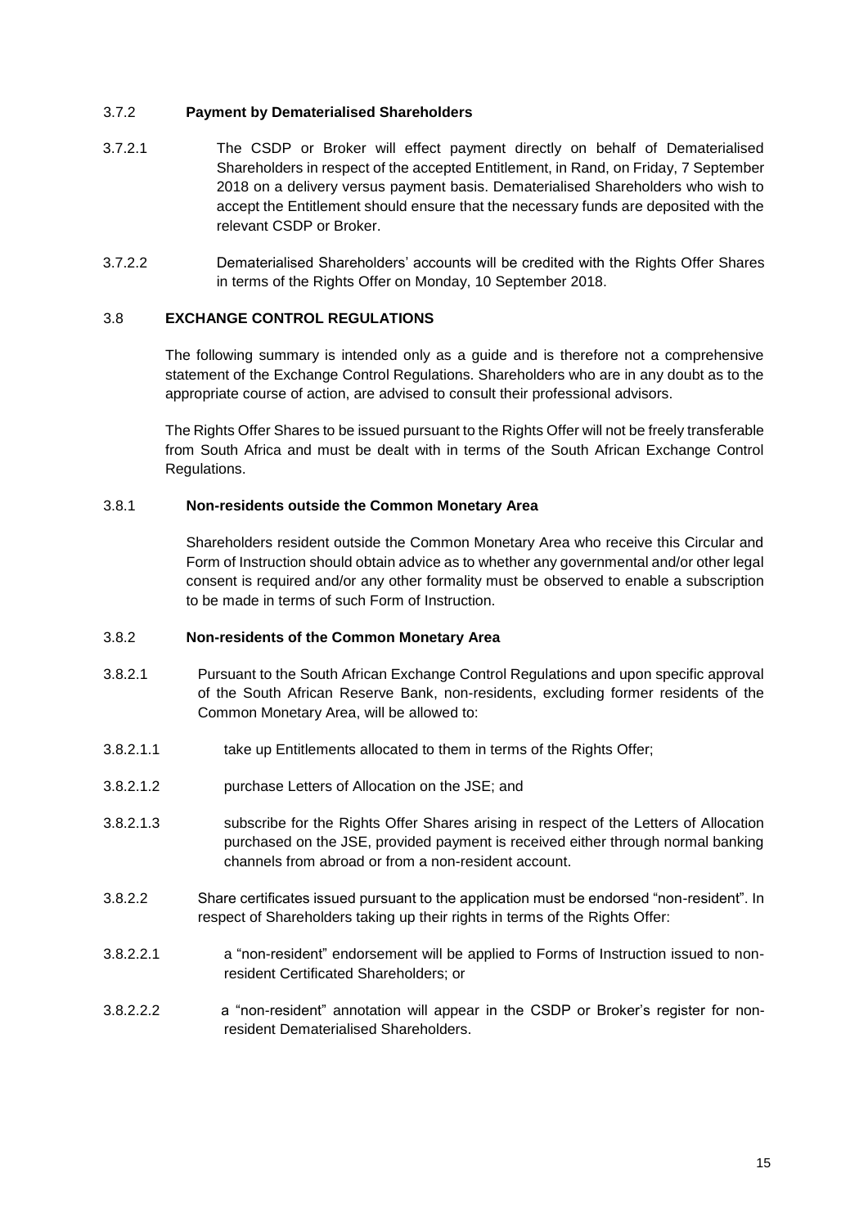# 3.7.2 **Payment by Dematerialised Shareholders**

- 3.7.2.1 The CSDP or Broker will effect payment directly on behalf of Dematerialised Shareholders in respect of the accepted Entitlement, in Rand, on Friday, 7 September 2018 on a delivery versus payment basis. Dematerialised Shareholders who wish to accept the Entitlement should ensure that the necessary funds are deposited with the relevant CSDP or Broker.
- 3.7.2.2 Dematerialised Shareholders' accounts will be credited with the Rights Offer Shares in terms of the Rights Offer on Monday, 10 September 2018.

# <span id="page-16-0"></span>3.8 **EXCHANGE CONTROL REGULATIONS**

The following summary is intended only as a guide and is therefore not a comprehensive statement of the Exchange Control Regulations. Shareholders who are in any doubt as to the appropriate course of action, are advised to consult their professional advisors.

The Rights Offer Shares to be issued pursuant to the Rights Offer will not be freely transferable from South Africa and must be dealt with in terms of the South African Exchange Control Regulations.

# 3.8.1 **Non-residents outside the Common Monetary Area**

Shareholders resident outside the Common Monetary Area who receive this Circular and Form of Instruction should obtain advice as to whether any governmental and/or other legal consent is required and/or any other formality must be observed to enable a subscription to be made in terms of such Form of Instruction.

# 3.8.2 **Non-residents of the Common Monetary Area**

- 3.8.2.1 Pursuant to the South African Exchange Control Regulations and upon specific approval of the South African Reserve Bank, non-residents, excluding former residents of the Common Monetary Area, will be allowed to:
- 3.8.2.1.1 take up Entitlements allocated to them in terms of the Rights Offer;
- 3.8.2.1.2 purchase Letters of Allocation on the JSE; and
- 3.8.2.1.3 subscribe for the Rights Offer Shares arising in respect of the Letters of Allocation purchased on the JSE, provided payment is received either through normal banking channels from abroad or from a non-resident account.
- 3.8.2.2 Share certificates issued pursuant to the application must be endorsed "non-resident". In respect of Shareholders taking up their rights in terms of the Rights Offer:
- 3.8.2.2.1 **a** "non-resident" endorsement will be applied to Forms of Instruction issued to nonresident Certificated Shareholders; or
- 3.8.2.2.2 a "non-resident" annotation will appear in the CSDP or Broker's register for nonresident Dematerialised Shareholders.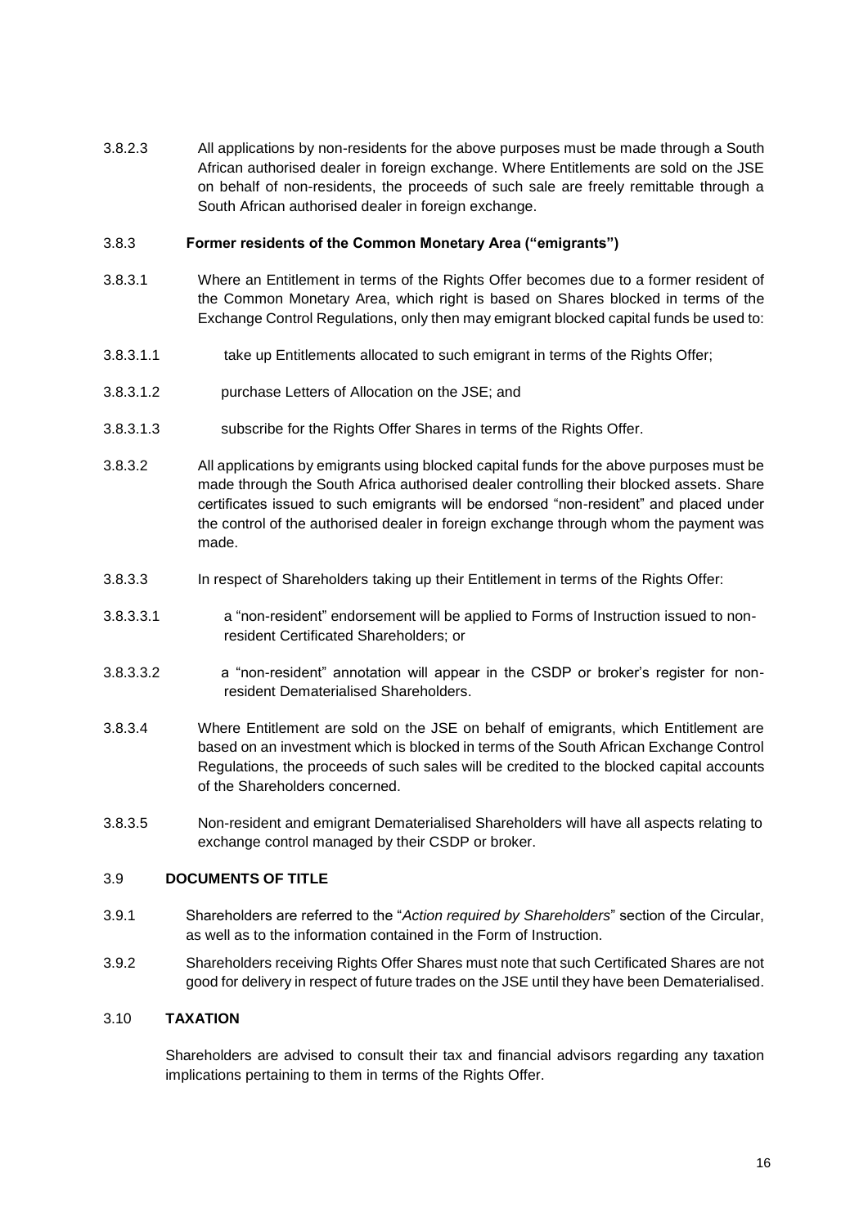3.8.2.3 All applications by non-residents for the above purposes must be made through a South African authorised dealer in foreign exchange. Where Entitlements are sold on the JSE on behalf of non-residents, the proceeds of such sale are freely remittable through a South African authorised dealer in foreign exchange.

#### 3.8.3 **Former residents of the Common Monetary Area ("emigrants")**

- 3.8.3.1 Where an Entitlement in terms of the Rights Offer becomes due to a former resident of the Common Monetary Area, which right is based on Shares blocked in terms of the Exchange Control Regulations, only then may emigrant blocked capital funds be used to:
- 3.8.3.1.1 take up Entitlements allocated to such emigrant in terms of the Rights Offer;
- 3.8.3.1.2 purchase Letters of Allocation on the JSE; and
- 3.8.3.1.3 subscribe for the Rights Offer Shares in terms of the Rights Offer.
- 3.8.3.2 All applications by emigrants using blocked capital funds for the above purposes must be made through the South Africa authorised dealer controlling their blocked assets. Share certificates issued to such emigrants will be endorsed "non-resident" and placed under the control of the authorised dealer in foreign exchange through whom the payment was made.
- 3.8.3.3 In respect of Shareholders taking up their Entitlement in terms of the Rights Offer:
- 3.8.3.3.1 a "non-resident" endorsement will be applied to Forms of Instruction issued to nonresident Certificated Shareholders; or
- 3.8.3.3.2 a "non-resident" annotation will appear in the CSDP or broker's register for nonresident Dematerialised Shareholders.
- 3.8.3.4 Where Entitlement are sold on the JSE on behalf of emigrants, which Entitlement are based on an investment which is blocked in terms of the South African Exchange Control Regulations, the proceeds of such sales will be credited to the blocked capital accounts of the Shareholders concerned.
- 3.8.3.5 Non-resident and emigrant Dematerialised Shareholders will have all aspects relating to exchange control managed by their CSDP or broker.

#### 3.9 **DOCUMENTS OF TITLE**

- 3.9.1 Shareholders are referred to the "*Action required by Shareholders*" section of the Circular, as well as to the information contained in the Form of Instruction.
- 3.9.2 Shareholders receiving Rights Offer Shares must note that such Certificated Shares are not good for delivery in respect of future trades on the JSE until they have been Dematerialised.

# 3.10 **TAXATION**

Shareholders are advised to consult their tax and financial advisors regarding any taxation implications pertaining to them in terms of the Rights Offer.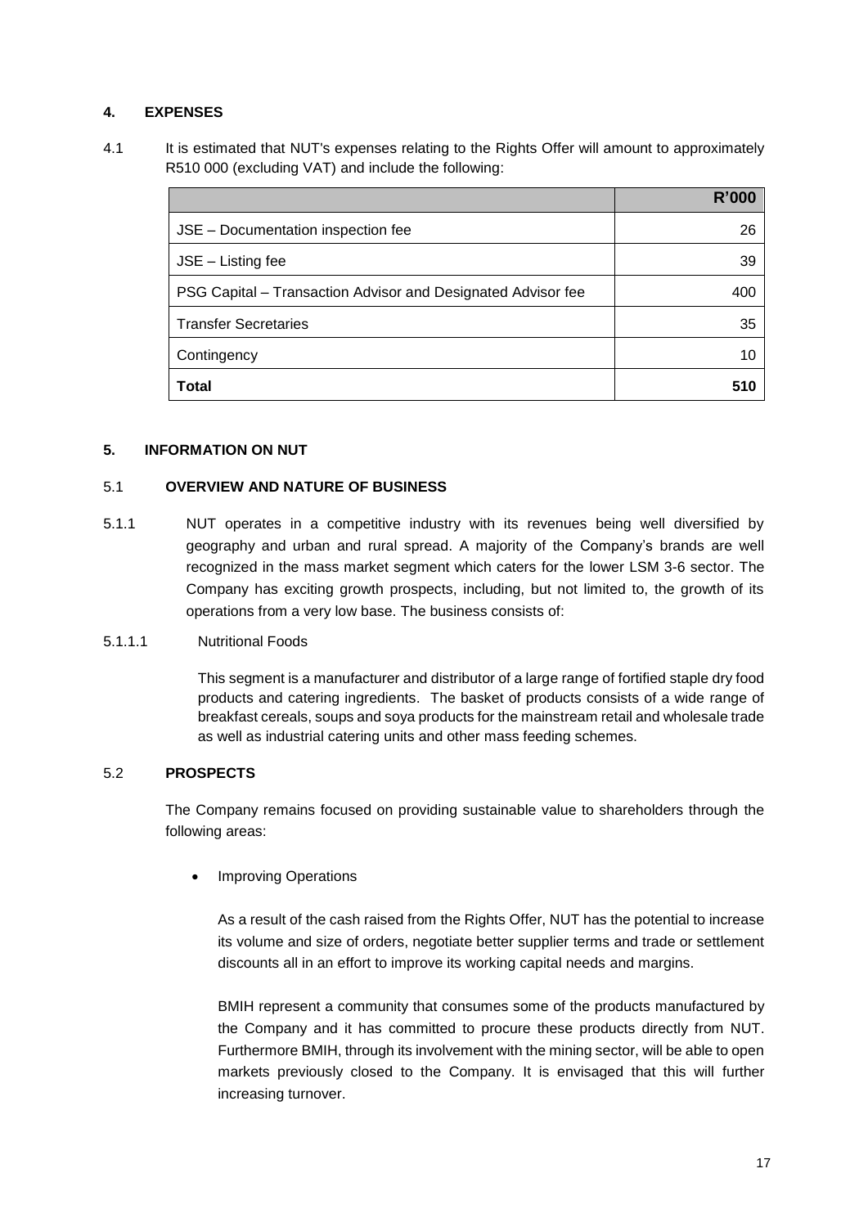# **4. EXPENSES**

4.1 It is estimated that NUT's expenses relating to the Rights Offer will amount to approximately R510 000 (excluding VAT) and include the following:

|                                                              | <b>R'000</b> |
|--------------------------------------------------------------|--------------|
| JSE - Documentation inspection fee                           | 26           |
| JSE - Listing fee                                            | 39           |
| PSG Capital – Transaction Advisor and Designated Advisor fee | 400          |
| <b>Transfer Secretaries</b>                                  | 35           |
| Contingency                                                  | 10           |
| Total                                                        | 510          |

# **5. INFORMATION ON NUT**

# 5.1 **OVERVIEW AND NATURE OF BUSINESS**

5.1.1 NUT operates in a competitive industry with its revenues being well diversified by geography and urban and rural spread. A majority of the Company's brands are well recognized in the mass market segment which caters for the lower LSM 3-6 sector. The Company has exciting growth prospects, including, but not limited to, the growth of its operations from a very low base. The business consists of:

# 5.1.1.1 Nutritional Foods

This segment is a manufacturer and distributor of a large range of fortified staple dry food products and catering ingredients. The basket of products consists of a wide range of breakfast cereals, soups and soya products for the mainstream retail and wholesale trade as well as industrial catering units and other mass feeding schemes.

# 5.2 **PROSPECTS**

The Company remains focused on providing sustainable value to shareholders through the following areas:

• Improving Operations

As a result of the cash raised from the Rights Offer, NUT has the potential to increase its volume and size of orders, negotiate better supplier terms and trade or settlement discounts all in an effort to improve its working capital needs and margins.

BMIH represent a community that consumes some of the products manufactured by the Company and it has committed to procure these products directly from NUT. Furthermore BMIH, through its involvement with the mining sector, will be able to open markets previously closed to the Company. It is envisaged that this will further increasing turnover.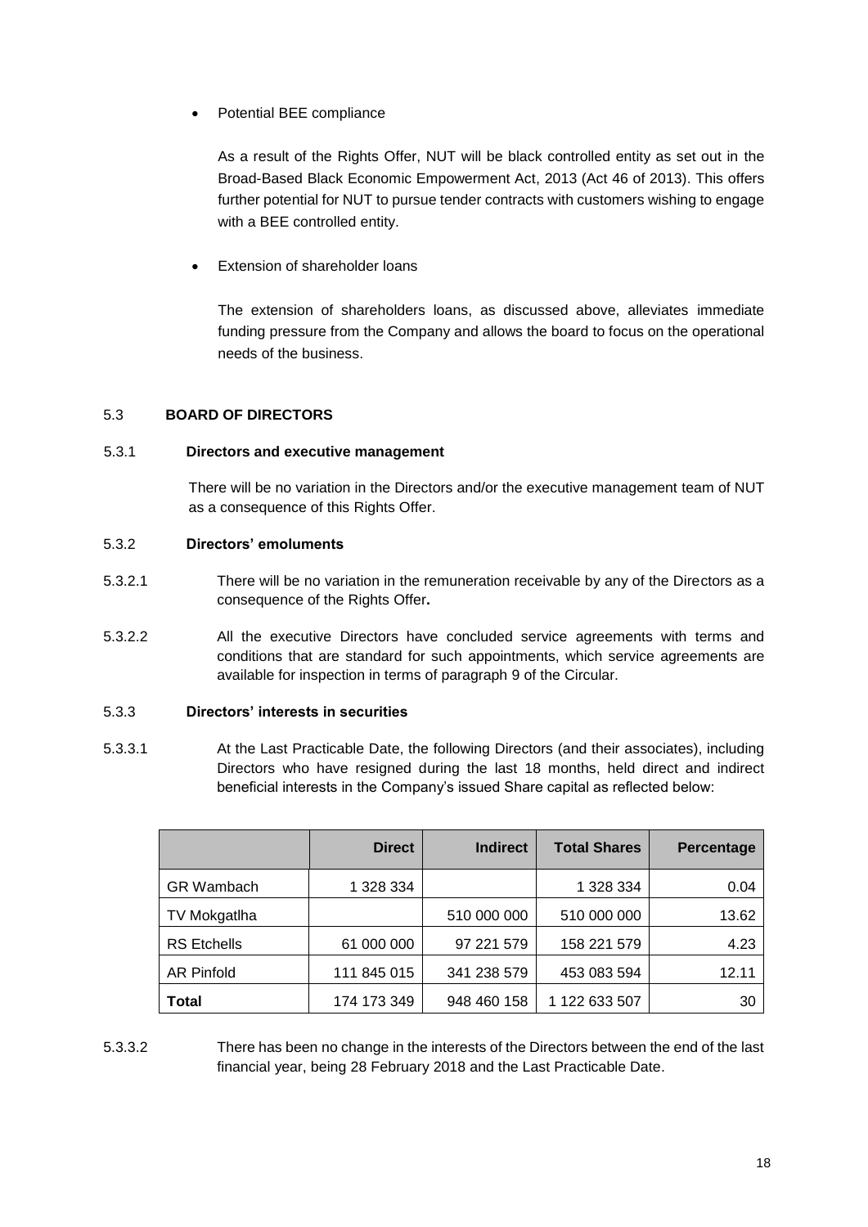• Potential BEE compliance

As a result of the Rights Offer, NUT will be black controlled entity as set out in the Broad-Based Black Economic Empowerment Act, 2013 (Act 46 of 2013). This offers further potential for NUT to pursue tender contracts with customers wishing to engage with a BEE controlled entity.

• Extension of shareholder loans

The extension of shareholders loans, as discussed above, alleviates immediate funding pressure from the Company and allows the board to focus on the operational needs of the business.

# 5.3 **BOARD OF DIRECTORS**

# 5.3.1 **Directors and executive management**

There will be no variation in the Directors and/or the executive management team of NUT as a consequence of this Rights Offer.

# 5.3.2 **Directors' emoluments**

- 5.3.2.1 There will be no variation in the remuneration receivable by any of the Directors as a consequence of the Rights Offer**.**
- 5.3.2.2 All the executive Directors have concluded service agreements with terms and conditions that are standard for such appointments, which service agreements are available for inspection in terms of paragraph [9](#page-21-0) of the Circular.

# 5.3.3 **Directors' interests in securities**

5.3.3.1 At the Last Practicable Date, the following Directors (and their associates), including Directors who have resigned during the last 18 months, held direct and indirect beneficial interests in the Company's issued Share capital as reflected below:

|                    | <b>Direct</b> | <b>Indirect</b> | <b>Total Shares</b> | Percentage |
|--------------------|---------------|-----------------|---------------------|------------|
| <b>GR</b> Wambach  | 1 328 334     |                 | 1 328 334           | 0.04       |
| TV Mokgatlha       |               | 510 000 000     | 510 000 000         | 13.62      |
| <b>RS</b> Etchells | 61 000 000    | 97 221 579      | 158 221 579         | 4.23       |
| <b>AR Pinfold</b>  | 111 845 015   | 341 238 579     | 453 083 594         | 12.11      |
| Total              | 174 173 349   | 948 460 158     | 1 122 633 507       | 30         |

5.3.3.2 There has been no change in the interests of the Directors between the end of the last financial year, being 28 February 2018 and the Last Practicable Date.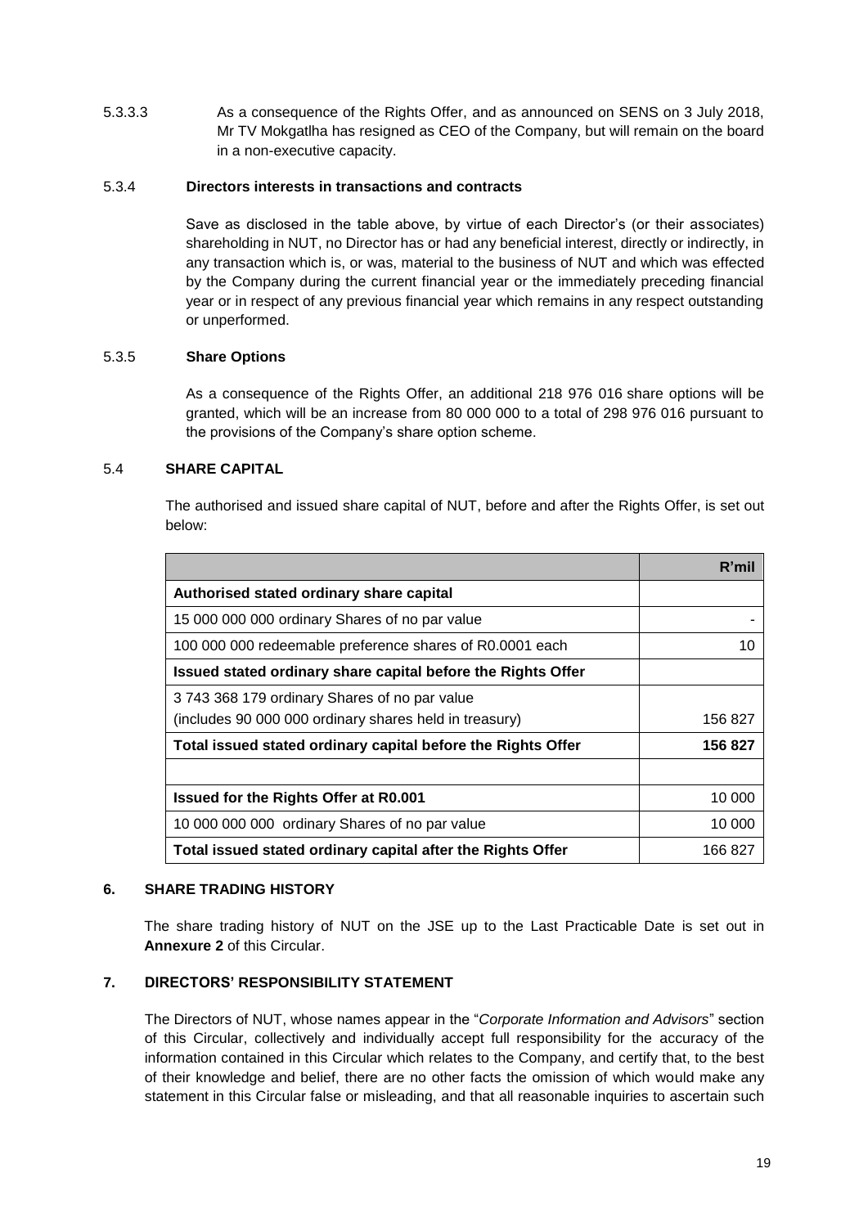5.3.3.3 As a consequence of the Rights Offer, and as announced on SENS on 3 July 2018, Mr TV Mokgatlha has resigned as CEO of the Company, but will remain on the board in a non-executive capacity.

# 5.3.4 **Directors interests in transactions and contracts**

Save as disclosed in the table above, by virtue of each Director's (or their associates) shareholding in NUT, no Director has or had any beneficial interest, directly or indirectly, in any transaction which is, or was, material to the business of NUT and which was effected by the Company during the current financial year or the immediately preceding financial year or in respect of any previous financial year which remains in any respect outstanding or unperformed.

# 5.3.5 **Share Options**

As a consequence of the Rights Offer, an additional 218 976 016 share options will be granted, which will be an increase from 80 000 000 to a total of 298 976 016 pursuant to the provisions of the Company's share option scheme.

# 5.4 **SHARE CAPITAL**

The authorised and issued share capital of NUT, before and after the Rights Offer, is set out below:

|                                                              | R'mi    |
|--------------------------------------------------------------|---------|
| Authorised stated ordinary share capital                     |         |
| 15 000 000 000 ordinary Shares of no par value               |         |
| 100 000 000 redeemable preference shares of R0.0001 each     | 10      |
| Issued stated ordinary share capital before the Rights Offer |         |
| 3743 368 179 ordinary Shares of no par value                 |         |
| (includes 90 000 000 ordinary shares held in treasury)       | 156 827 |
| Total issued stated ordinary capital before the Rights Offer | 156 827 |
|                                                              |         |
| <b>Issued for the Rights Offer at R0.001</b>                 | 10 000  |
| 10 000 000 000 ordinary Shares of no par value               | 10 000  |
| Total issued stated ordinary capital after the Rights Offer  | 166 827 |

# **6. SHARE TRADING HISTORY**

The share trading history of NUT on the JSE up to the Last Practicable Date is set out in **Annexure 2** of this Circular.

# **7. DIRECTORS' RESPONSIBILITY STATEMENT**

The Directors of NUT, whose names appear in the "*Corporate Information and Advisors*" section of this Circular, collectively and individually accept full responsibility for the accuracy of the information contained in this Circular which relates to the Company, and certify that, to the best of their knowledge and belief, there are no other facts the omission of which would make any statement in this Circular false or misleading, and that all reasonable inquiries to ascertain such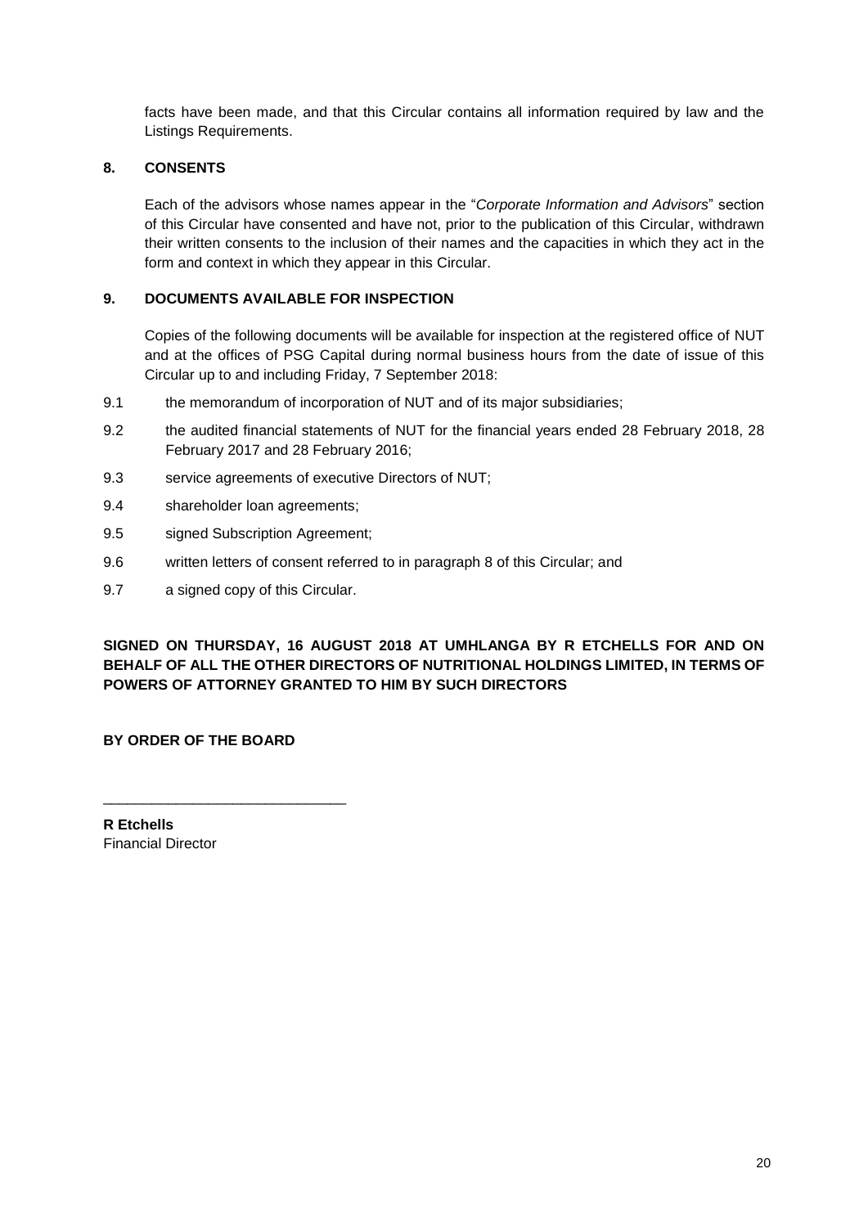facts have been made, and that this Circular contains all information required by law and the Listings Requirements.

# <span id="page-21-1"></span>**8. CONSENTS**

Each of the advisors whose names appear in the "*Corporate Information and Advisors*" section of this Circular have consented and have not, prior to the publication of this Circular, withdrawn their written consents to the inclusion of their names and the capacities in which they act in the form and context in which they appear in this Circular.

# <span id="page-21-0"></span>**9. DOCUMENTS AVAILABLE FOR INSPECTION**

Copies of the following documents will be available for inspection at the registered office of NUT and at the offices of PSG Capital during normal business hours from the date of issue of this Circular up to and including Friday, 7 September 2018:

- 9.1 the memorandum of incorporation of NUT and of its major subsidiaries;
- 9.2 the audited financial statements of NUT for the financial years ended 28 February 2018, 28 February 2017 and 28 February 2016;
- 9.3 service agreements of executive Directors of NUT;
- 9.4 shareholder loan agreements;
- 9.5 signed Subscription Agreement;
- 9.6 written letters of consent referred to in paragraph [8](#page-21-1) of this Circular; and
- 9.7 a signed copy of this Circular.

**SIGNED ON THURSDAY, 16 AUGUST 2018 AT UMHLANGA BY R ETCHELLS FOR AND ON BEHALF OF ALL THE OTHER DIRECTORS OF NUTRITIONAL HOLDINGS LIMITED, IN TERMS OF POWERS OF ATTORNEY GRANTED TO HIM BY SUCH DIRECTORS**

# **BY ORDER OF THE BOARD**

\_\_\_\_\_\_\_\_\_\_\_\_\_\_\_\_\_\_\_\_\_\_\_\_\_\_\_\_\_\_

**R Etchells** Financial Director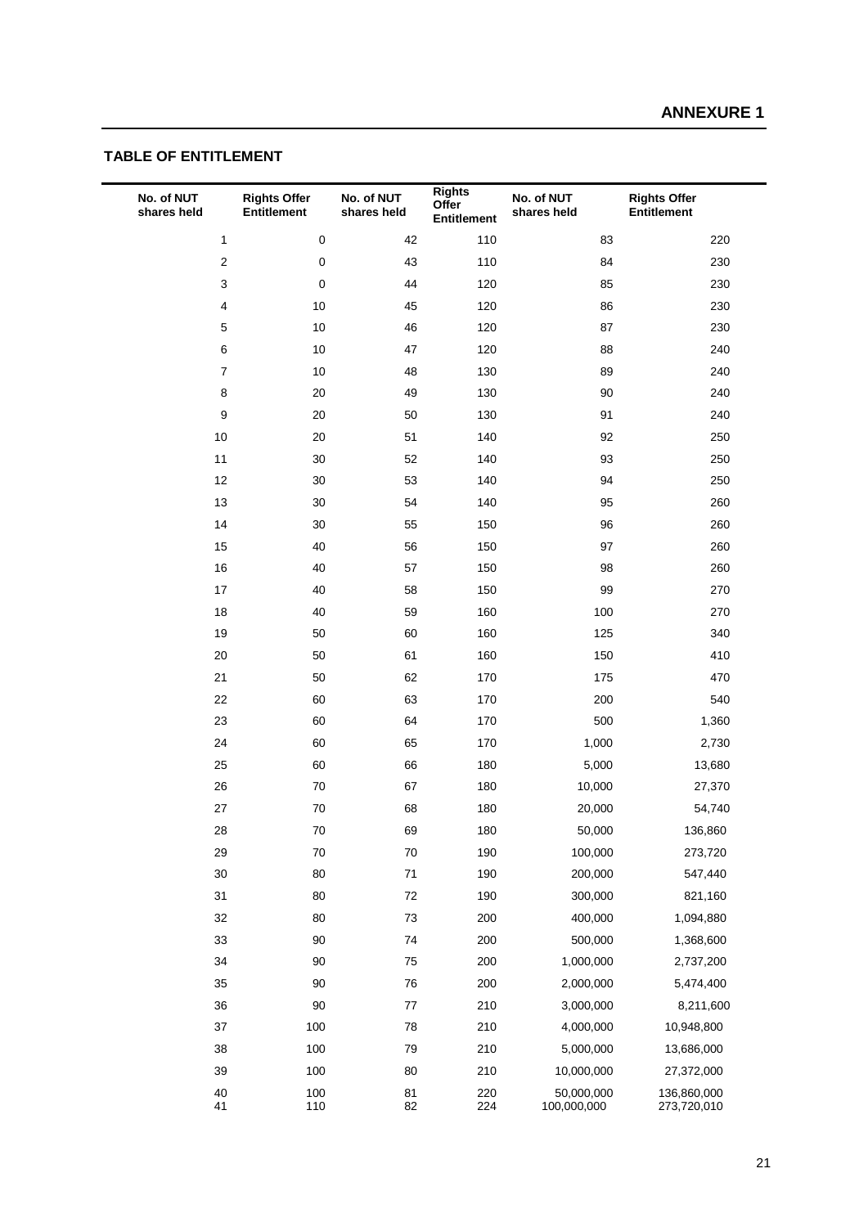# **TABLE OF ENTITLEMENT**

| No. of NUT<br>shares held | <b>Rights Offer</b><br><b>Entitlement</b> | No. of NUT<br>shares held | <b>Rights</b><br>Offer<br>Entitlement | No. of NUT<br>shares held | <b>Rights Offer</b><br>Entitlement |
|---------------------------|-------------------------------------------|---------------------------|---------------------------------------|---------------------------|------------------------------------|
| $\mathbf{1}$              | $\pmb{0}$                                 | 42                        | 110                                   | 83                        | 220                                |
| $\overline{\mathbf{c}}$   | $\mathbf 0$                               | 43                        | 110                                   | 84                        | 230                                |
| 3                         | $\pmb{0}$                                 | 44                        | 120                                   | 85                        | 230                                |
| $\overline{\mathbf{4}}$   | 10                                        | 45                        | 120                                   | 86                        | 230                                |
| 5                         | 10                                        | 46                        | 120                                   | 87                        | 230                                |
| 6                         | 10                                        | 47                        | 120                                   | 88                        | 240                                |
| $\overline{7}$            | 10                                        | 48                        | 130                                   | 89                        | 240                                |
| 8                         | 20                                        | 49                        | 130                                   | 90                        | 240                                |
| 9                         | 20                                        | 50                        | 130                                   | 91                        | 240                                |
| 10                        | 20                                        | 51                        | 140                                   | 92                        | 250                                |
| 11                        | 30                                        | 52                        | 140                                   | 93                        | 250                                |
| 12                        | 30                                        | 53                        | 140                                   | 94                        | 250                                |
| 13                        | 30                                        | 54                        | 140                                   | 95                        | 260                                |
| 14                        | 30                                        | 55                        | 150                                   | 96                        | 260                                |
| 15                        | 40                                        | 56                        | 150                                   | 97                        | 260                                |
| 16                        | 40                                        | 57                        | 150                                   | 98                        | 260                                |
| 17                        | 40                                        | 58                        | 150                                   | 99                        | 270                                |
| 18                        | 40                                        | 59                        | 160                                   | 100                       | 270                                |
| 19                        | 50                                        | 60                        | 160                                   | 125                       | 340                                |
| 20                        | 50                                        | 61                        | 160                                   | 150                       | 410                                |
| 21                        | 50                                        | 62                        | 170                                   | 175                       | 470                                |
| 22                        | 60                                        | 63                        | 170                                   | 200                       | 540                                |
| 23                        | 60                                        | 64                        | 170                                   | 500                       | 1,360                              |
| 24                        | 60                                        | 65                        | 170                                   | 1,000                     | 2,730                              |
| 25                        | 60                                        | 66                        | 180                                   | 5,000                     | 13,680                             |
| 26                        | 70                                        | 67                        | 180                                   | 10,000                    | 27,370                             |
| 27                        | 70                                        | 68                        | 180                                   | 20,000                    | 54,740                             |
| 28                        | 70                                        | 69                        | 180                                   | 50,000                    | 136,860                            |
| 29                        | 70                                        | $70\,$                    | 190                                   | 100,000                   | 273,720                            |
| $30\,$                    | 80                                        | 71                        | 190                                   | 200,000                   | 547,440                            |
| 31                        | 80                                        | $72\,$                    | 190                                   | 300,000                   | 821,160                            |
| 32                        | 80                                        | $73\,$                    | 200                                   | 400,000                   | 1,094,880                          |
| 33                        | 90                                        | 74                        | 200                                   | 500,000                   | 1,368,600                          |
| 34                        | 90                                        | 75                        | 200                                   | 1,000,000                 | 2,737,200                          |
| 35                        | 90                                        | ${\bf 76}$                | 200                                   | 2,000,000                 | 5,474,400                          |
| 36                        | 90                                        | $77\,$                    | 210                                   | 3,000,000                 | 8,211,600                          |
| $37\,$                    | 100                                       | ${\bf 78}$                | 210                                   | 4,000,000                 | 10,948,800                         |
| 38                        | 100                                       | 79                        | 210                                   | 5,000,000                 | 13,686,000                         |
| 39                        | 100                                       | 80                        | 210                                   | 10,000,000                | 27,372,000                         |
| 40<br>41                  | 100<br>110                                | 81<br>82                  | 220<br>224                            | 50,000,000<br>100,000,000 | 136,860,000<br>273,720,010         |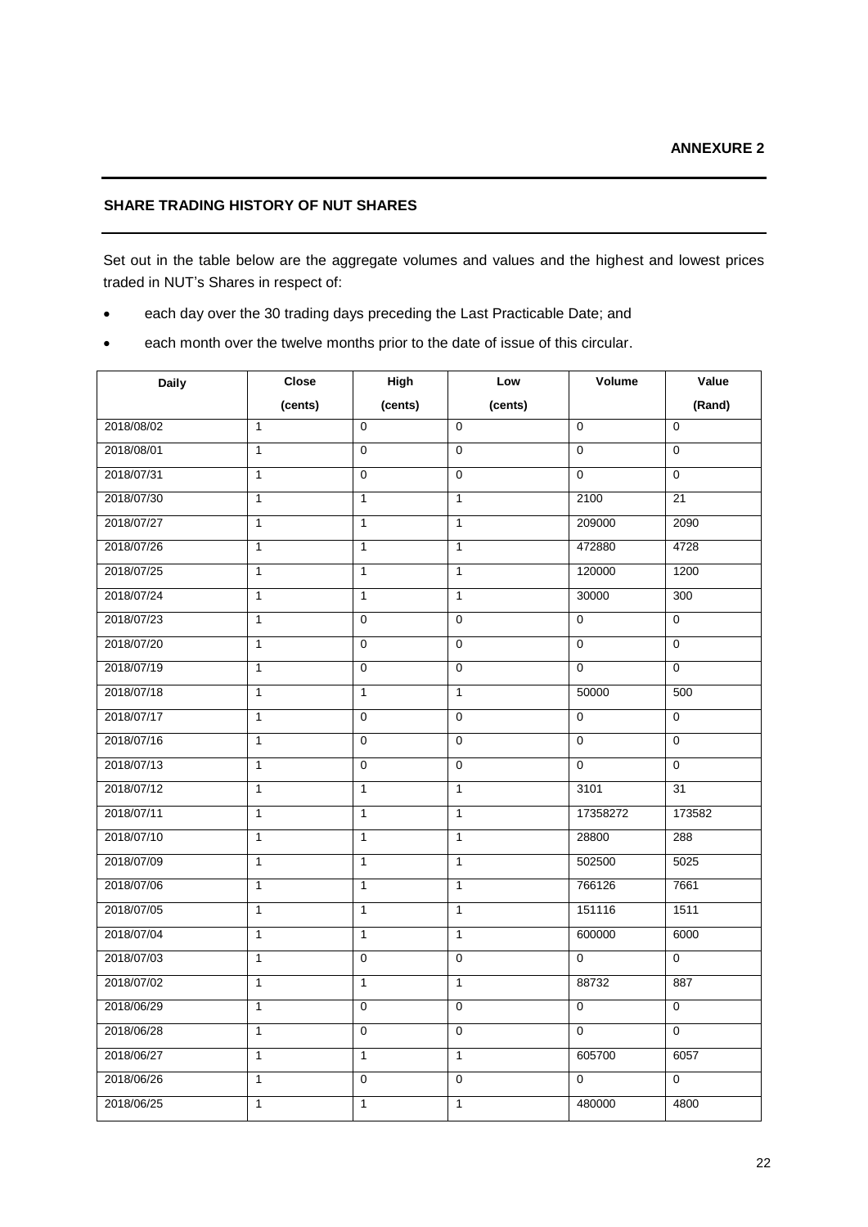# **SHARE TRADING HISTORY OF NUT SHARES**

Set out in the table below are the aggregate volumes and values and the highest and lowest prices traded in NUT's Shares in respect of:

- each day over the 30 trading days preceding the Last Practicable Date; and
- each month over the twelve months prior to the date of issue of this circular.

| <b>Daily</b> | <b>Close</b>   | High           | Low            | Volume         | Value          |
|--------------|----------------|----------------|----------------|----------------|----------------|
|              | (cents)        | (cents)        | (cents)        |                | (Rand)         |
| 2018/08/02   | $\mathbf{1}$   | $\Omega$       | $\Omega$       | $\Omega$       | 0              |
| 2018/08/01   | $\mathbf{1}$   | $\mathbf 0$    | $\mathbf 0$    | $\mathbf 0$    | 0              |
| 2018/07/31   | $\mathbf{1}$   | $\pmb{0}$      | $\mathbf 0$    | $\mathbf 0$    | 0              |
| 2018/07/30   | $\mathbf{1}$   | $\mathbf{1}$   | $\mathbf{1}$   | 2100           | 21             |
| 2018/07/27   | $\mathbf{1}$   | $\mathbf{1}$   | $\mathbf{1}$   | 209000         | 2090           |
| 2018/07/26   | $\mathbf{1}$   | $\mathbf{1}$   | $\overline{1}$ | 472880         | 4728           |
| 2018/07/25   | $\mathbf{1}$   | $\mathbf{1}$   | $\mathbf{1}$   | 120000         | 1200           |
| 2018/07/24   | $\mathbf{1}$   | $\mathbf{1}$   | $\mathbf{1}$   | 30000          | 300            |
| 2018/07/23   | $\mathbf{1}$   | $\mathbf 0$    | $\mathbf 0$    | $\mathbf 0$    | $\mathbf 0$    |
| 2018/07/20   | $\overline{1}$ | $\overline{0}$ | $\overline{0}$ | $\overline{0}$ | $\overline{0}$ |
| 2018/07/19   | $\mathbf{1}$   | $\pmb{0}$      | $\mathbf 0$    | $\mathbf 0$    | $\overline{0}$ |
| 2018/07/18   | $\mathbf{1}$   | $\mathbf{1}$   | $\mathbf{1}$   | 50000          | 500            |
| 2018/07/17   | $\mathbf{1}$   | $\mathbf 0$    | $\mathbf 0$    | $\mathbf 0$    | 0              |
| 2018/07/16   | $\overline{1}$ | $\overline{0}$ | $\mathbf 0$    | $\overline{0}$ | $\overline{0}$ |
| 2018/07/13   | $\mathbf{1}$   | $\mathbf 0$    | $\mathbf 0$    | $\mathbf 0$    | 0              |
| 2018/07/12   | $\mathbf{1}$   | $\mathbf{1}$   | $\mathbf{1}$   | 3101           | 31             |
| 2018/07/11   | $\mathbf{1}$   | $\mathbf{1}$   | $\mathbf{1}$   | 17358272       | 173582         |
| 2018/07/10   | $\mathbf{1}$   | $\mathbf{1}$   | $\mathbf{1}$   | 28800          | 288            |
| 2018/07/09   | $\mathbf{1}$   | $\mathbf{1}$   | $\mathbf{1}$   | 502500         | 5025           |
| 2018/07/06   | $\mathbf{1}$   | $\mathbf{1}$   | $\mathbf{1}$   | 766126         | 7661           |
| 2018/07/05   | $\mathbf{1}$   | $\mathbf{1}$   | $\mathbf{1}$   | 151116         | 1511           |
| 2018/07/04   | $\mathbf{1}$   | $\mathbf{1}$   | $\mathbf{1}$   | 600000         | 6000           |
| 2018/07/03   | $\mathbf{1}$   | $\mathbf 0$    | $\mathbf 0$    | $\mathbf 0$    | $\mathbf 0$    |
| 2018/07/02   | $\mathbf{1}$   | $\mathbf{1}$   | $\mathbf{1}$   | 88732          | 887            |
| 2018/06/29   | $\mathbf{1}$   | $\pmb{0}$      | $\mathbf 0$    | $\mathbf{0}$   | 0              |
| 2018/06/28   | $\mathbf{1}$   | $\mathbf 0$    | $\mathbf 0$    | $\Omega$       | $\overline{0}$ |
| 2018/06/27   | $\mathbf{1}$   | $\mathbf{1}$   | $\mathbf{1}$   | 605700         | 6057           |
| 2018/06/26   | $\overline{1}$ | $\overline{0}$ | $\mathbf 0$    | $\mathbf 0$    | $\overline{0}$ |
| 2018/06/25   | 1              | $\mathbf{1}$   | $\mathbf{1}$   | 480000         | 4800           |